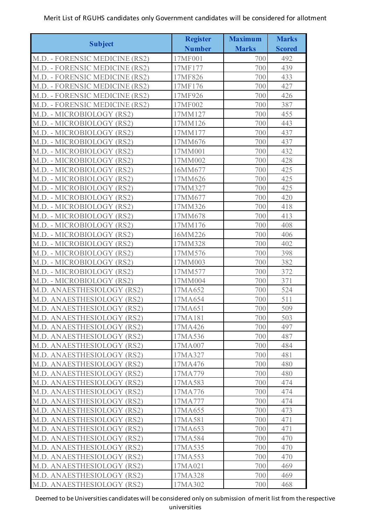|                                | <b>Register</b> | <b>Maximum</b> | <b>Marks</b>  |
|--------------------------------|-----------------|----------------|---------------|
| <b>Subject</b>                 | <b>Number</b>   | <b>Marks</b>   | <b>Scored</b> |
| M.D. - FORENSIC MEDICINE (RS2) | 17MF001         | 700            | 492           |
| M.D. - FORENSIC MEDICINE (RS2) | 17MF177         | 700            | 439           |
| M.D. - FORENSIC MEDICINE (RS2) | 17MF826         | 700            | 433           |
| M.D. - FORENSIC MEDICINE (RS2) | 17MF176         | 700            | 427           |
| M.D. - FORENSIC MEDICINE (RS2) | 17MF926         | 700            | 426           |
| M.D. - FORENSIC MEDICINE (RS2) | 17MF002         | 700            | 387           |
| M.D. - MICROBIOLOGY (RS2)      | 17MM127         | 700            | 455           |
| M.D. - MICROBIOLOGY (RS2)      | 17MM126         | 700            | 443           |
| M.D. - MICROBIOLOGY (RS2)      | 17MM177         | 700            | 437           |
| M.D. - MICROBIOLOGY (RS2)      | 17MM676         | 700            | 437           |
| M.D. - MICROBIOLOGY (RS2)      | 17MM001         | 700            | 432           |
| M.D. - MICROBIOLOGY (RS2)      | 17MM002         | 700            | 428           |
| M.D. - MICROBIOLOGY (RS2)      | 16MM677         | 700            | 425           |
| M.D. - MICROBIOLOGY (RS2)      | 17MM626         | 700            | 425           |
| M.D. - MICROBIOLOGY (RS2)      | 17MM327         | 700            | 425           |
| M.D. - MICROBIOLOGY (RS2)      | 17MM677         | 700            | 420           |
| M.D. - MICROBIOLOGY (RS2)      | 17MM326         | 700            | 418           |
| M.D. - MICROBIOLOGY (RS2)      | 17MM678         | 700            | 413           |
| M.D. - MICROBIOLOGY (RS2)      | 17MM176         | 700            | 408           |
| M.D. - MICROBIOLOGY (RS2)      | 16MM226         | 700            | 406           |
| M.D. - MICROBIOLOGY (RS2)      | 17MM328         | 700            | 402           |
| M.D. - MICROBIOLOGY (RS2)      | 17MM576         | 700            | 398           |
| M.D. - MICROBIOLOGY (RS2)      | 17MM003         | 700            | 382           |
| M.D. - MICROBIOLOGY (RS2)      | 17MM577         | 700            | 372           |
| M.D. - MICROBIOLOGY (RS2)      | 17MM004         | 700            | 371           |
| M.D. ANAESTHESIOLOGY (RS2)     | 17MA652         | 700            | 524           |
| M.D. ANAESTHESIOLOGY (RS2)     | 17MA654         | 700            | 511           |
| M.D. ANAESTHESIOLOGY (RS2)     | 17MA651         | 700            | 509           |
| M.D. ANAESTHESIOLOGY (RS2)     | 17MA181         | 700            | 503           |
| M.D. ANAESTHESIOLOGY (RS2)     | 17MA426         | 700            | 497           |
| M.D. ANAESTHESIOLOGY (RS2)     | 17MA536         | 700            | 487           |
| M.D. ANAESTHESIOLOGY (RS2)     | 17MA007         | 700            | 484           |
| M.D. ANAESTHESIOLOGY (RS2)     | 17MA327         | 700            | 481           |
| M.D. ANAESTHESIOLOGY (RS2)     | 17MA476         | 700            | 480           |
| M.D. ANAESTHESIOLOGY (RS2)     | 17MA779         | 700            | 480           |
| M.D. ANAESTHESIOLOGY (RS2)     | 17MA583         | 700            | 474           |
| M.D. ANAESTHESIOLOGY (RS2)     | 17MA776         | 700            | 474           |
| M.D. ANAESTHESIOLOGY (RS2)     | 17MA777         | 700            | 474           |
| M.D. ANAESTHESIOLOGY (RS2)     | 17MA655         | 700            | 473           |
| M.D. ANAESTHESIOLOGY (RS2)     | 17MA581         | 700            | 471           |
| M.D. ANAESTHESIOLOGY (RS2)     | 17MA653         | 700            | 471           |
| M.D. ANAESTHESIOLOGY (RS2)     | 17MA584         | 700            | 470           |
| M.D. ANAESTHESIOLOGY (RS2)     | 17MA535         | 700            | 470           |
| M.D. ANAESTHESIOLOGY (RS2)     | 17MA553         | 700            | 470           |
| M.D. ANAESTHESIOLOGY (RS2)     | 17MA021         | 700            | 469           |
| M.D. ANAESTHESIOLOGY (RS2)     | 17MA328         | 700            | 469           |
| M.D. ANAESTHESIOLOGY (RS2)     | 17MA302         | 700            | 468           |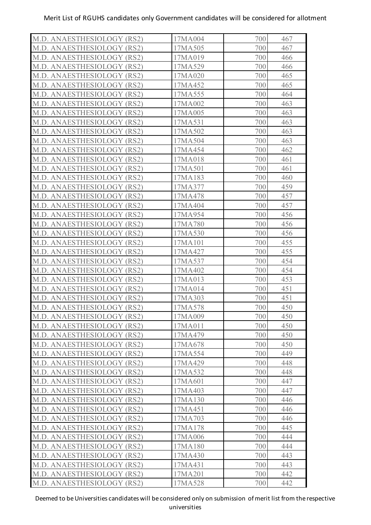| M.D. ANAESTHESIOLOGY (RS2) | 17MA004 | 700 | 467 |
|----------------------------|---------|-----|-----|
| M.D. ANAESTHESIOLOGY (RS2) | 17MA505 | 700 | 467 |
| M.D. ANAESTHESIOLOGY (RS2) | 17MA019 | 700 | 466 |
| M.D. ANAESTHESIOLOGY (RS2) | 17MA529 | 700 | 466 |
| M.D. ANAESTHESIOLOGY (RS2) | 17MA020 | 700 | 465 |
| M.D. ANAESTHESIOLOGY (RS2) | 17MA452 | 700 | 465 |
| M.D. ANAESTHESIOLOGY (RS2) | 17MA555 | 700 | 464 |
| M.D. ANAESTHESIOLOGY (RS2) | 17MA002 | 700 | 463 |
| M.D. ANAESTHESIOLOGY (RS2) | 17MA005 | 700 | 463 |
| M.D. ANAESTHESIOLOGY (RS2) | 17MA531 | 700 | 463 |
| M.D. ANAESTHESIOLOGY (RS2) | 17MA502 | 700 | 463 |
| M.D. ANAESTHESIOLOGY (RS2) | 17MA504 | 700 | 463 |
| M.D. ANAESTHESIOLOGY (RS2) | 17MA454 | 700 | 462 |
| M.D. ANAESTHESIOLOGY (RS2) | 17MA018 | 700 | 461 |
| M.D. ANAESTHESIOLOGY (RS2) | 17MA501 | 700 | 461 |
| M.D. ANAESTHESIOLOGY (RS2) | 17MA183 | 700 | 460 |
| M.D. ANAESTHESIOLOGY (RS2) | 17MA377 | 700 | 459 |
| M.D. ANAESTHESIOLOGY (RS2) | 17MA478 | 700 | 457 |
| M.D. ANAESTHESIOLOGY (RS2) | 17MA404 | 700 | 457 |
| M.D. ANAESTHESIOLOGY (RS2) | 17MA954 | 700 | 456 |
| M.D. ANAESTHESIOLOGY (RS2) | 17MA780 | 700 | 456 |
| M.D. ANAESTHESIOLOGY (RS2) | 17MA530 | 700 | 456 |
| M.D. ANAESTHESIOLOGY (RS2) | 17MA101 | 700 | 455 |
| M.D. ANAESTHESIOLOGY (RS2) | 17MA427 | 700 | 455 |
| M.D. ANAESTHESIOLOGY (RS2) | 17MA537 | 700 | 454 |
| M.D. ANAESTHESIOLOGY (RS2) | 17MA402 | 700 | 454 |
| M.D. ANAESTHESIOLOGY (RS2) | 17MA013 | 700 | 453 |
| M.D. ANAESTHESIOLOGY (RS2) | 17MA014 | 700 | 451 |
| M.D. ANAESTHESIOLOGY (RS2) | 17MA303 | 700 | 451 |
| M.D. ANAESTHESIOLOGY (RS2) | 17MA578 | 700 | 450 |
| M.D. ANAESTHESIOLOGY (RS2) | 17MA009 | 700 | 450 |
| M.D. ANAESTHESIOLOGY (RS2) | 17MA011 | 700 | 450 |
| M.D. ANAESTHESIOLOGY (RS2) | 17MA479 | 700 | 450 |
| M.D. ANAESTHESIOLOGY (RS2) | 17MA678 | 700 | 450 |
| M.D. ANAESTHESIOLOGY (RS2) | 17MA554 | 700 | 449 |
| M.D. ANAESTHESIOLOGY (RS2) | 17MA429 | 700 | 448 |
| M.D. ANAESTHESIOLOGY (RS2) | 17MA532 | 700 | 448 |
| M.D. ANAESTHESIOLOGY (RS2) | 17MA601 | 700 | 447 |
| M.D. ANAESTHESIOLOGY (RS2) | 17MA403 | 700 | 447 |
| M.D. ANAESTHESIOLOGY (RS2) | 17MA130 | 700 | 446 |
| M.D. ANAESTHESIOLOGY (RS2) | 17MA451 | 700 | 446 |
| M.D. ANAESTHESIOLOGY (RS2) | 17MA703 | 700 | 446 |
| M.D. ANAESTHESIOLOGY (RS2) | 17MA178 | 700 | 445 |
| M.D. ANAESTHESIOLOGY (RS2) | 17MA006 | 700 | 444 |
| M.D. ANAESTHESIOLOGY (RS2) | 17MA180 | 700 | 444 |
| M.D. ANAESTHESIOLOGY (RS2) | 17MA430 | 700 | 443 |
| M.D. ANAESTHESIOLOGY (RS2) | 17MA431 | 700 | 443 |
| M.D. ANAESTHESIOLOGY (RS2) | 17MA201 | 700 | 442 |
| M.D. ANAESTHESIOLOGY (RS2) | 17MA528 | 700 | 442 |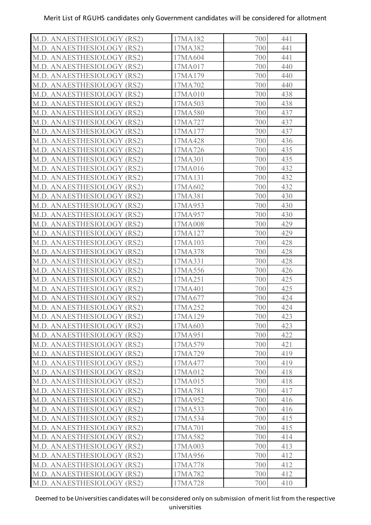| M.D. ANAESTHESIOLOGY (RS2) | 17MA182 | 700 | 441 |
|----------------------------|---------|-----|-----|
| M.D. ANAESTHESIOLOGY (RS2) | 17MA382 | 700 | 441 |
| M.D. ANAESTHESIOLOGY (RS2) | 17MA604 | 700 | 441 |
| M.D. ANAESTHESIOLOGY (RS2) | 17MA017 | 700 | 440 |
| M.D. ANAESTHESIOLOGY (RS2) | 17MA179 | 700 | 440 |
| M.D. ANAESTHESIOLOGY (RS2) | 17MA702 | 700 | 440 |
| M.D. ANAESTHESIOLOGY (RS2) | 17MA010 | 700 | 438 |
| M.D. ANAESTHESIOLOGY (RS2) | 17MA503 | 700 | 438 |
| M.D. ANAESTHESIOLOGY (RS2) | 17MA580 | 700 | 437 |
| M.D. ANAESTHESIOLOGY (RS2) | 17MA727 | 700 | 437 |
| M.D. ANAESTHESIOLOGY (RS2) | 17MA177 | 700 | 437 |
| M.D. ANAESTHESIOLOGY (RS2) | 17MA428 | 700 | 436 |
| M.D. ANAESTHESIOLOGY (RS2) | 17MA726 | 700 | 435 |
| M.D. ANAESTHESIOLOGY (RS2) | 17MA301 | 700 | 435 |
| M.D. ANAESTHESIOLOGY (RS2) | 17MA016 | 700 | 432 |
| M.D. ANAESTHESIOLOGY (RS2) | 17MA131 | 700 | 432 |
| M.D. ANAESTHESIOLOGY (RS2) | 17MA602 | 700 | 432 |
| M.D. ANAESTHESIOLOGY (RS2) | 17MA381 | 700 | 430 |
| M.D. ANAESTHESIOLOGY (RS2) | 17MA953 | 700 | 430 |
| M.D. ANAESTHESIOLOGY (RS2) | 17MA957 | 700 | 430 |
| M.D. ANAESTHESIOLOGY (RS2) | 17MA008 | 700 | 429 |
| M.D. ANAESTHESIOLOGY (RS2) | 17MA127 | 700 | 429 |
| M.D. ANAESTHESIOLOGY (RS2) | 17MA103 | 700 | 428 |
| M.D. ANAESTHESIOLOGY (RS2) | 17MA378 | 700 | 428 |
| M.D. ANAESTHESIOLOGY (RS2) | 17MA331 | 700 | 428 |
| M.D. ANAESTHESIOLOGY (RS2) | 17MA556 | 700 | 426 |
| M.D. ANAESTHESIOLOGY (RS2) | 17MA251 | 700 | 425 |
| M.D. ANAESTHESIOLOGY (RS2) | 17MA401 | 700 | 425 |
| M.D. ANAESTHESIOLOGY (RS2) | 17MA677 | 700 | 424 |
| M.D. ANAESTHESIOLOGY (RS2) | 17MA252 | 700 | 424 |
| M.D. ANAESTHESIOLOGY (RS2) | 17MA129 | 700 | 423 |
| M.D. ANAESTHESIOLOGY (RS2) | 17MA603 | 700 | 423 |
| M.D. ANAESTHESIOLOGY (RS2) | 17MA951 | 700 | 422 |
| M.D. ANAESTHESIOLOGY (RS2) | 17MA579 | 700 | 421 |
| M.D. ANAESTHESIOLOGY (RS2) | 17MA729 | 700 | 419 |
| M.D. ANAESTHESIOLOGY (RS2) | 17MA477 | 700 | 419 |
| M.D. ANAESTHESIOLOGY (RS2) | 17MA012 | 700 | 418 |
| M.D. ANAESTHESIOLOGY (RS2) | 17MA015 | 700 | 418 |
| M.D. ANAESTHESIOLOGY (RS2) | 17MA781 | 700 | 417 |
| M.D. ANAESTHESIOLOGY (RS2) | 17MA952 | 700 | 416 |
| M.D. ANAESTHESIOLOGY (RS2) | 17MA533 | 700 | 416 |
| M.D. ANAESTHESIOLOGY (RS2) | 17MA534 | 700 | 415 |
| M.D. ANAESTHESIOLOGY (RS2) | 17MA701 | 700 | 415 |
| M.D. ANAESTHESIOLOGY (RS2) | 17MA582 | 700 | 414 |
| M.D. ANAESTHESIOLOGY (RS2) | 17MA003 | 700 | 413 |
| M.D. ANAESTHESIOLOGY (RS2) | 17MA956 | 700 | 412 |
| M.D. ANAESTHESIOLOGY (RS2) | 17MA778 | 700 | 412 |
| M.D. ANAESTHESIOLOGY (RS2) | 17MA782 | 700 | 412 |
| M.D. ANAESTHESIOLOGY (RS2) | 17MA728 | 700 | 410 |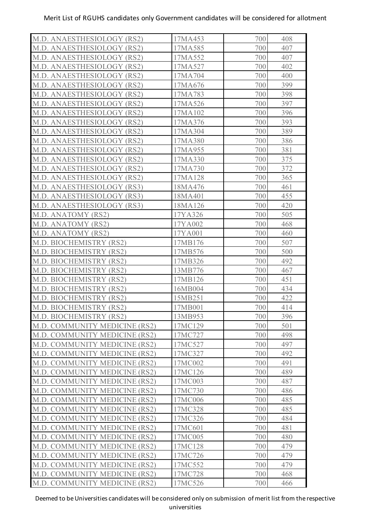| M.D. ANAESTHESIOLOGY (RS2)    | 17MA453 | 700 | 408 |
|-------------------------------|---------|-----|-----|
| M.D. ANAESTHESIOLOGY (RS2)    | 17MA585 | 700 | 407 |
| M.D. ANAESTHESIOLOGY (RS2)    | 17MA552 | 700 | 407 |
| M.D. ANAESTHESIOLOGY (RS2)    | 17MA527 | 700 | 402 |
| M.D. ANAESTHESIOLOGY (RS2)    | 17MA704 | 700 | 400 |
| M.D. ANAESTHESIOLOGY (RS2)    | 17MA676 | 700 | 399 |
| M.D. ANAESTHESIOLOGY (RS2)    | 17MA783 | 700 | 398 |
| M.D. ANAESTHESIOLOGY (RS2)    | 17MA526 | 700 | 397 |
| M.D. ANAESTHESIOLOGY (RS2)    | 17MA102 | 700 | 396 |
| M.D. ANAESTHESIOLOGY (RS2)    | 17MA376 | 700 | 393 |
| M.D. ANAESTHESIOLOGY (RS2)    | 17MA304 | 700 | 389 |
| M.D. ANAESTHESIOLOGY (RS2)    | 17MA380 | 700 | 386 |
| M.D. ANAESTHESIOLOGY (RS2)    | 17MA955 | 700 | 381 |
| M.D. ANAESTHESIOLOGY (RS2)    | 17MA330 | 700 | 375 |
| M.D. ANAESTHESIOLOGY (RS2)    | 17MA730 | 700 | 372 |
| M.D. ANAESTHESIOLOGY (RS2)    | 17MA128 | 700 | 365 |
| M.D. ANAESTHESIOLOGY (RS3)    | 18MA476 | 700 | 461 |
| M.D. ANAESTHESIOLOGY (RS3)    | 18MA401 | 700 | 455 |
| M.D. ANAESTHESIOLOGY (RS3)    | 18MA126 | 700 | 420 |
| M.D. ANATOMY (RS2)            | 17YA326 | 700 | 505 |
| M.D. ANATOMY (RS2)            | 17YA002 | 700 | 468 |
| M.D. ANATOMY (RS2)            | 17YA001 | 700 | 460 |
| M.D. BIOCHEMISTRY (RS2)       | 17MB176 | 700 | 507 |
| M.D. BIOCHEMISTRY (RS2)       | 17MB576 | 700 | 500 |
| M.D. BIOCHEMISTRY (RS2)       | 17MB326 | 700 | 492 |
| M.D. BIOCHEMISTRY (RS2)       | 13MB776 | 700 | 467 |
| M.D. BIOCHEMISTRY (RS2)       | 17MB126 | 700 | 451 |
| M.D. BIOCHEMISTRY (RS2)       | 16MB004 | 700 | 434 |
| M.D. BIOCHEMISTRY (RS2)       | 15MB251 | 700 | 422 |
| M.D. BIOCHEMISTRY (RS2)       | 17MB001 | 700 | 414 |
| M.D. BIOCHEMISTRY (RS2)       | 13MB953 | 700 | 396 |
| M.D. COMMUNITY MEDICINE (RS2) | 17MC129 | 700 | 501 |
| M.D. COMMUNITY MEDICINE (RS2) | 17MC727 | 700 | 498 |
| M.D. COMMUNITY MEDICINE (RS2) | 17MC527 | 700 | 497 |
| M.D. COMMUNITY MEDICINE (RS2) | 17MC327 | 700 | 492 |
| M.D. COMMUNITY MEDICINE (RS2) | 17MC002 | 700 | 491 |
| M.D. COMMUNITY MEDICINE (RS2) | 17MC126 | 700 | 489 |
| M.D. COMMUNITY MEDICINE (RS2) | 17MC003 | 700 | 487 |
| M.D. COMMUNITY MEDICINE (RS2) | 17MC730 | 700 | 486 |
| M.D. COMMUNITY MEDICINE (RS2) | 17MC006 | 700 | 485 |
| M.D. COMMUNITY MEDICINE (RS2) | 17MC328 | 700 | 485 |
| M.D. COMMUNITY MEDICINE (RS2) | 17MC326 | 700 | 484 |
| M.D. COMMUNITY MEDICINE (RS2) | 17MC601 | 700 | 481 |
| M.D. COMMUNITY MEDICINE (RS2) | 17MC005 | 700 | 480 |
| M.D. COMMUNITY MEDICINE (RS2) | 17MC128 | 700 | 479 |
| M.D. COMMUNITY MEDICINE (RS2) | 17MC726 | 700 | 479 |
| M.D. COMMUNITY MEDICINE (RS2) | 17MC552 | 700 | 479 |
| M.D. COMMUNITY MEDICINE (RS2) | 17MC728 | 700 | 468 |
| M.D. COMMUNITY MEDICINE (RS2) | 17MC526 | 700 | 466 |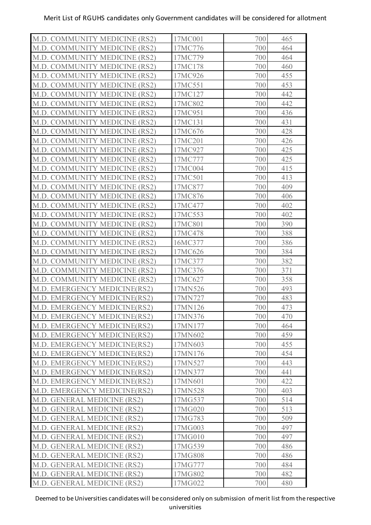| M.D. COMMUNITY MEDICINE (RS2) | 17MC001 | 700<br>465 |  |
|-------------------------------|---------|------------|--|
| M.D. COMMUNITY MEDICINE (RS2) | 17MC776 | 464<br>700 |  |
| M.D. COMMUNITY MEDICINE (RS2) | 17MC779 | 700<br>464 |  |
| M.D. COMMUNITY MEDICINE (RS2) | 17MC178 | 700<br>460 |  |
| M.D. COMMUNITY MEDICINE (RS2) | 17MC926 | 700<br>455 |  |
| M.D. COMMUNITY MEDICINE (RS2) | 17MC551 | 453<br>700 |  |
| M.D. COMMUNITY MEDICINE (RS2) | 17MC127 | 442<br>700 |  |
| M.D. COMMUNITY MEDICINE (RS2) | 17MC802 | 442<br>700 |  |
| M.D. COMMUNITY MEDICINE (RS2) | 17MC951 | 436<br>700 |  |
| M.D. COMMUNITY MEDICINE (RS2) | 17MC131 | 431<br>700 |  |
| M.D. COMMUNITY MEDICINE (RS2) | 17MC676 | 428<br>700 |  |
| M.D. COMMUNITY MEDICINE (RS2) | 17MC201 | 426<br>700 |  |
| M.D. COMMUNITY MEDICINE (RS2) | 17MC927 | 425<br>700 |  |
| M.D. COMMUNITY MEDICINE (RS2) | 17MC777 | 425<br>700 |  |
| M.D. COMMUNITY MEDICINE (RS2) | 17MC004 | 700<br>415 |  |
| M.D. COMMUNITY MEDICINE (RS2) | 17MC501 | 413<br>700 |  |
| M.D. COMMUNITY MEDICINE (RS2) | 17MC877 | 409<br>700 |  |
| M.D. COMMUNITY MEDICINE (RS2) | 17MC876 | 406<br>700 |  |
| M.D. COMMUNITY MEDICINE (RS2) | 17MC477 | 402<br>700 |  |
| M.D. COMMUNITY MEDICINE (RS2) | 17MC553 | 402<br>700 |  |
| M.D. COMMUNITY MEDICINE (RS2) | 17MC801 | 390<br>700 |  |
| M.D. COMMUNITY MEDICINE (RS2) | 17MC478 | 700<br>388 |  |
| M.D. COMMUNITY MEDICINE (RS2) | 16MC377 | 700<br>386 |  |
| M.D. COMMUNITY MEDICINE (RS2) | 17MC626 | 700<br>384 |  |
| M.D. COMMUNITY MEDICINE (RS2) | 17MC377 | 382<br>700 |  |
| M.D. COMMUNITY MEDICINE (RS2) | 17MC376 | 700<br>371 |  |
| M.D. COMMUNITY MEDICINE (RS2) | 17MC627 | 358<br>700 |  |
| M.D. EMERGENCY MEDICINE(RS2)  | 17MN526 | 700<br>493 |  |
| M.D. EMERGENCY MEDICINE(RS2)  | 17MN727 | 700<br>483 |  |
| M.D. EMERGENCY MEDICINE(RS2)  | 17MN126 | 700<br>473 |  |
| M.D. EMERGENCY MEDICINE(RS2)  | 17MN376 | 700<br>470 |  |
| M.D. EMERGENCY MEDICINE(RS2)  | 17MN177 | 700<br>464 |  |
| M.D. EMERGENCY MEDICINE(RS2)  | 17MN602 | 700<br>459 |  |
| M.D. EMERGENCY MEDICINE(RS2)  | 17MN603 | 455<br>700 |  |
| M.D. EMERGENCY MEDICINE(RS2)  | 17MN176 | 700<br>454 |  |
| M.D. EMERGENCY MEDICINE(RS2)  | 17MN527 | 443<br>700 |  |
| M.D. EMERGENCY MEDICINE(RS2)  | 17MN377 | 441<br>700 |  |
| M.D. EMERGENCY MEDICINE(RS2)  | 17MN601 | 422<br>700 |  |
| M.D. EMERGENCY MEDICINE(RS2)  | 17MN528 | 700<br>403 |  |
| M.D. GENERAL MEDICINE (RS2)   | 17MG537 | 514<br>700 |  |
| M.D. GENERAL MEDICINE (RS2)   | 17MG020 | 700<br>513 |  |
| M.D. GENERAL MEDICINE (RS2)   | 17MG783 | 509<br>700 |  |
| M.D. GENERAL MEDICINE (RS2)   | 17MG003 | 700<br>497 |  |
| M.D. GENERAL MEDICINE (RS2)   | 17MG010 | 700<br>497 |  |
| M.D. GENERAL MEDICINE (RS2)   | 17MG539 | 700<br>486 |  |
| M.D. GENERAL MEDICINE (RS2)   | 17MG808 | 700<br>486 |  |
| M.D. GENERAL MEDICINE (RS2)   | 17MG777 | 700<br>484 |  |
| M.D. GENERAL MEDICINE (RS2)   | 17MG802 | 482<br>700 |  |
| M.D. GENERAL MEDICINE (RS2)   | 17MG022 | 700<br>480 |  |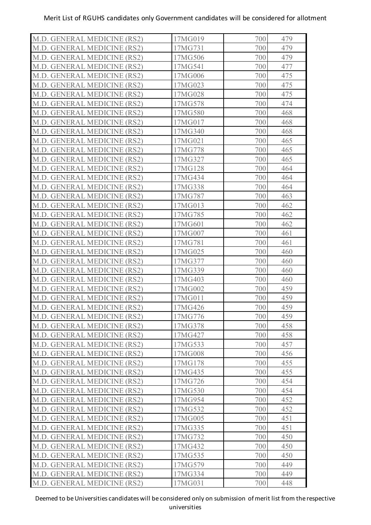| M.D. GENERAL MEDICINE (RS2) | 17MG019 | 479<br>700 |
|-----------------------------|---------|------------|
| M.D. GENERAL MEDICINE (RS2) | 17MG731 | 700<br>479 |
| M.D. GENERAL MEDICINE (RS2) | 17MG506 | 700<br>479 |
| M.D. GENERAL MEDICINE (RS2) | 17MG541 | 477<br>700 |
| M.D. GENERAL MEDICINE (RS2) | 17MG006 | 475<br>700 |
| M.D. GENERAL MEDICINE (RS2) | 17MG023 | 475<br>700 |
| M.D. GENERAL MEDICINE (RS2) | 17MG028 | 700<br>475 |
| M.D. GENERAL MEDICINE (RS2) | 17MG578 | 474<br>700 |
| M.D. GENERAL MEDICINE (RS2) | 17MG580 | 700<br>468 |
| M.D. GENERAL MEDICINE (RS2) | 17MG017 | 700<br>468 |
| M.D. GENERAL MEDICINE (RS2) | 17MG340 | 700<br>468 |
| M.D. GENERAL MEDICINE (RS2) | 17MG021 | 700<br>465 |
| M.D. GENERAL MEDICINE (RS2) | 17MG778 | 700<br>465 |
| M.D. GENERAL MEDICINE (RS2) | 17MG327 | 465<br>700 |
| M.D. GENERAL MEDICINE (RS2) | 17MG128 | 700<br>464 |
| M.D. GENERAL MEDICINE (RS2) | 17MG434 | 700<br>464 |
| M.D. GENERAL MEDICINE (RS2) | 17MG338 | 464<br>700 |
| M.D. GENERAL MEDICINE (RS2) | 17MG787 | 700<br>463 |
| M.D. GENERAL MEDICINE (RS2) | 17MG013 | 700<br>462 |
| M.D. GENERAL MEDICINE (RS2) | 17MG785 | 700<br>462 |
| M.D. GENERAL MEDICINE (RS2) | 17MG601 | 462<br>700 |
| M.D. GENERAL MEDICINE (RS2) | 17MG007 | 700<br>461 |
| M.D. GENERAL MEDICINE (RS2) | 17MG781 | 700<br>461 |
| M.D. GENERAL MEDICINE (RS2) | 17MG025 | 700<br>460 |
| M.D. GENERAL MEDICINE (RS2) | 17MG377 | 460<br>700 |
| M.D. GENERAL MEDICINE (RS2) | 17MG339 | 700<br>460 |
| M.D. GENERAL MEDICINE (RS2) | 17MG403 | 700<br>460 |
| M.D. GENERAL MEDICINE (RS2) | 17MG002 | 700<br>459 |
| M.D. GENERAL MEDICINE (RS2) | 17MG011 | 700<br>459 |
| M.D. GENERAL MEDICINE (RS2) | 17MG426 | 700<br>459 |
| M.D. GENERAL MEDICINE (RS2) | 17MG776 | 459<br>700 |
| M.D. GENERAL MEDICINE (RS2) | 17MG378 | 700<br>458 |
| M.D. GENERAL MEDICINE (RS2) | 17MG427 | 458<br>700 |
| M.D. GENERAL MEDICINE (RS2) | 17MG533 | 700<br>457 |
| M.D. GENERAL MEDICINE (RS2) | 17MG008 | 700<br>456 |
| M.D. GENERAL MEDICINE (RS2) | 17MG178 | 455<br>700 |
| M.D. GENERAL MEDICINE (RS2) | 17MG435 | 700<br>455 |
| M.D. GENERAL MEDICINE (RS2) | 17MG726 | 700<br>454 |
| M.D. GENERAL MEDICINE (RS2) | 17MG530 | 700<br>454 |
| M.D. GENERAL MEDICINE (RS2) | 17MG954 | 452<br>700 |
| M.D. GENERAL MEDICINE (RS2) | 17MG532 | 452<br>700 |
| M.D. GENERAL MEDICINE (RS2) | 17MG005 | 451<br>700 |
| M.D. GENERAL MEDICINE (RS2) | 17MG335 | 451<br>700 |
| M.D. GENERAL MEDICINE (RS2) | 17MG732 | 450<br>700 |
| M.D. GENERAL MEDICINE (RS2) | 17MG432 | 700<br>450 |
| M.D. GENERAL MEDICINE (RS2) | 17MG535 | 450<br>700 |
| M.D. GENERAL MEDICINE (RS2) | 17MG579 | 700<br>449 |
| M.D. GENERAL MEDICINE (RS2) | 17MG334 | 700<br>449 |
| M.D. GENERAL MEDICINE (RS2) | 17MG031 | 700<br>448 |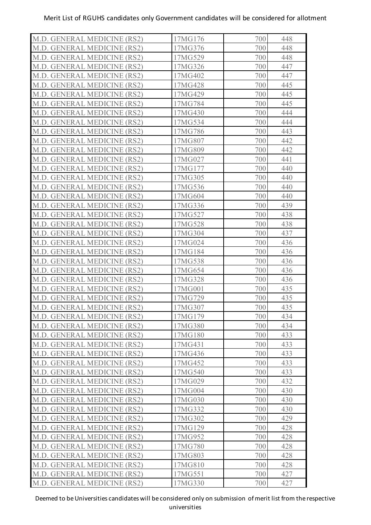| M.D. GENERAL MEDICINE (RS2) | 17MG176 | 448<br>700 |
|-----------------------------|---------|------------|
| M.D. GENERAL MEDICINE (RS2) | 17MG376 | 448<br>700 |
| M.D. GENERAL MEDICINE (RS2) | 17MG529 | 448<br>700 |
| M.D. GENERAL MEDICINE (RS2) | 17MG326 | 447<br>700 |
| M.D. GENERAL MEDICINE (RS2) | 17MG402 | 700<br>447 |
| M.D. GENERAL MEDICINE (RS2) | 17MG428 | 700<br>445 |
| M.D. GENERAL MEDICINE (RS2) | 17MG429 | 700<br>445 |
| M.D. GENERAL MEDICINE (RS2) | 17MG784 | 445<br>700 |
| M.D. GENERAL MEDICINE (RS2) | 17MG430 | 444<br>700 |
| M.D. GENERAL MEDICINE (RS2) | 17MG534 | 444<br>700 |
| M.D. GENERAL MEDICINE (RS2) | 17MG786 | 700<br>443 |
| M.D. GENERAL MEDICINE (RS2) | 17MG807 | 442<br>700 |
| M.D. GENERAL MEDICINE (RS2) | 17MG809 | 442<br>700 |
| M.D. GENERAL MEDICINE (RS2) | 17MG027 | 441<br>700 |
| M.D. GENERAL MEDICINE (RS2) | 17MG177 | 440<br>700 |
| M.D. GENERAL MEDICINE (RS2) | 17MG305 | 700<br>440 |
| M.D. GENERAL MEDICINE (RS2) | 17MG536 | 440<br>700 |
| M.D. GENERAL MEDICINE (RS2) | 17MG604 | 700<br>440 |
| M.D. GENERAL MEDICINE (RS2) | 17MG336 | 700<br>439 |
| M.D. GENERAL MEDICINE (RS2) | 17MG527 | 700<br>438 |
| M.D. GENERAL MEDICINE (RS2) | 17MG528 | 438<br>700 |
| M.D. GENERAL MEDICINE (RS2) | 17MG304 | 437<br>700 |
| M.D. GENERAL MEDICINE (RS2) | 17MG024 | 700<br>436 |
| M.D. GENERAL MEDICINE (RS2) | 17MG184 | 700<br>436 |
| M.D. GENERAL MEDICINE (RS2) | 17MG538 | 436<br>700 |
| M.D. GENERAL MEDICINE (RS2) | 17MG654 | 700<br>436 |
| M.D. GENERAL MEDICINE (RS2) | 17MG328 | 436<br>700 |
| M.D. GENERAL MEDICINE (RS2) | 17MG001 | 700<br>435 |
| M.D. GENERAL MEDICINE (RS2) | 17MG729 | 435<br>700 |
| M.D. GENERAL MEDICINE (RS2) | 17MG307 | 700<br>435 |
| M.D. GENERAL MEDICINE (RS2) | 17MG179 | 434<br>700 |
| M.D. GENERAL MEDICINE (RS2) | 17MG380 | 700<br>434 |
| M.D. GENERAL MEDICINE (RS2) | 17MG180 | 433<br>700 |
| M.D. GENERAL MEDICINE (RS2) | 17MG431 | 700<br>433 |
| M.D. GENERAL MEDICINE (RS2) | 17MG436 | 433<br>700 |
| M.D. GENERAL MEDICINE (RS2) | 17MG452 | 433<br>700 |
| M.D. GENERAL MEDICINE (RS2) | 17MG540 | 700<br>433 |
| M.D. GENERAL MEDICINE (RS2) | 17MG029 | 700<br>432 |
| M.D. GENERAL MEDICINE (RS2) | 17MG004 | 700<br>430 |
| M.D. GENERAL MEDICINE (RS2) | 17MG030 | 430<br>700 |
| M.D. GENERAL MEDICINE (RS2) | 17MG332 | 430<br>700 |
| M.D. GENERAL MEDICINE (RS2) | 17MG302 | 429<br>700 |
| M.D. GENERAL MEDICINE (RS2) | 17MG129 | 428<br>700 |
| M.D. GENERAL MEDICINE (RS2) | 17MG952 | 428<br>700 |
| M.D. GENERAL MEDICINE (RS2) | 17MG780 | 700<br>428 |
| M.D. GENERAL MEDICINE (RS2) | 17MG803 | 428<br>700 |
| M.D. GENERAL MEDICINE (RS2) | 17MG810 | 700<br>428 |
| M.D. GENERAL MEDICINE (RS2) | 17MG551 | 427<br>700 |
| M.D. GENERAL MEDICINE (RS2) | 17MG330 | 700<br>427 |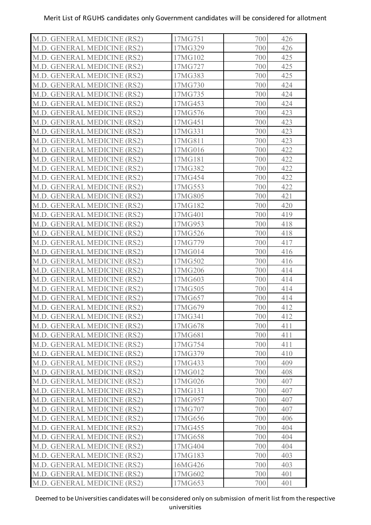| M.D. GENERAL MEDICINE (RS2) | 17MG751 | 426<br>700 |
|-----------------------------|---------|------------|
| M.D. GENERAL MEDICINE (RS2) | 17MG329 | 426<br>700 |
| M.D. GENERAL MEDICINE (RS2) | 17MG102 | 425<br>700 |
| M.D. GENERAL MEDICINE (RS2) | 17MG727 | 425<br>700 |
| M.D. GENERAL MEDICINE (RS2) | 17MG383 | 425<br>700 |
| M.D. GENERAL MEDICINE (RS2) | 17MG730 | 424<br>700 |
| M.D. GENERAL MEDICINE (RS2) | 17MG735 | 424<br>700 |
| M.D. GENERAL MEDICINE (RS2) | 17MG453 | 424<br>700 |
| M.D. GENERAL MEDICINE (RS2) | 17MG576 | 423<br>700 |
| M.D. GENERAL MEDICINE (RS2) | 17MG451 | 423<br>700 |
| M.D. GENERAL MEDICINE (RS2) | 17MG331 | 700<br>423 |
| M.D. GENERAL MEDICINE (RS2) | 17MG811 | 423<br>700 |
| M.D. GENERAL MEDICINE (RS2) | 17MG016 | 422<br>700 |
| M.D. GENERAL MEDICINE (RS2) | 17MG181 | 422<br>700 |
| M.D. GENERAL MEDICINE (RS2) | 17MG382 | 422<br>700 |
| M.D. GENERAL MEDICINE (RS2) | 17MG454 | 422<br>700 |
| M.D. GENERAL MEDICINE (RS2) | 17MG553 | 422<br>700 |
| M.D. GENERAL MEDICINE (RS2) | 17MG805 | 421<br>700 |
| M.D. GENERAL MEDICINE (RS2) | 17MG182 | 420<br>700 |
| M.D. GENERAL MEDICINE (RS2) | 17MG401 | 700<br>419 |
| M.D. GENERAL MEDICINE (RS2) | 17MG953 | 418<br>700 |
| M.D. GENERAL MEDICINE (RS2) | 17MG526 | 700<br>418 |
| M.D. GENERAL MEDICINE (RS2) | 17MG779 | 700<br>417 |
| M.D. GENERAL MEDICINE (RS2) | 17MG014 | 700<br>416 |
| M.D. GENERAL MEDICINE (RS2) | 17MG502 | 416<br>700 |
| M.D. GENERAL MEDICINE (RS2) | 17MG206 | 700<br>414 |
| M.D. GENERAL MEDICINE (RS2) | 17MG603 | 414<br>700 |
| M.D. GENERAL MEDICINE (RS2) | 17MG505 | 700<br>414 |
| M.D. GENERAL MEDICINE (RS2) | 17MG657 | 414<br>700 |
| M.D. GENERAL MEDICINE (RS2) | 17MG679 | 700<br>412 |
| M.D. GENERAL MEDICINE (RS2) | 17MG341 | 412<br>700 |
| M.D. GENERAL MEDICINE (RS2) | 17MG678 | 700<br>411 |
| M.D. GENERAL MEDICINE (RS2) | 17MG681 | 411<br>700 |
| M.D. GENERAL MEDICINE (RS2) | 17MG754 | 700<br>411 |
| M.D. GENERAL MEDICINE (RS2) | 17MG379 | 700<br>410 |
| M.D. GENERAL MEDICINE (RS2) | 17MG433 | 409<br>700 |
| M.D. GENERAL MEDICINE (RS2) | 17MG012 | 700<br>408 |
| M.D. GENERAL MEDICINE (RS2) | 17MG026 | 700<br>407 |
| M.D. GENERAL MEDICINE (RS2) | 17MG131 | 700<br>407 |
| M.D. GENERAL MEDICINE (RS2) | 17MG957 | 407<br>700 |
| M.D. GENERAL MEDICINE (RS2) | 17MG707 | 407<br>700 |
| M.D. GENERAL MEDICINE (RS2) | 17MG656 | 406<br>700 |
| M.D. GENERAL MEDICINE (RS2) | 17MG455 | 404<br>700 |
| M.D. GENERAL MEDICINE (RS2) | 17MG658 | 404<br>700 |
| M.D. GENERAL MEDICINE (RS2) | 17MG404 | 700<br>404 |
| M.D. GENERAL MEDICINE (RS2) | 17MG183 | 403<br>700 |
| M.D. GENERAL MEDICINE (RS2) | 16MG426 | 700<br>403 |
| M.D. GENERAL MEDICINE (RS2) | 17MG602 | 401<br>700 |
| M.D. GENERAL MEDICINE (RS2) | 17MG653 | 700<br>401 |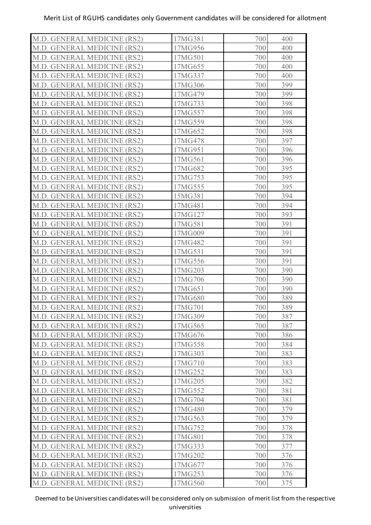| M.D. GENERAL MEDICINE (RS2) | 17MG381 | 700 | 400 |
|-----------------------------|---------|-----|-----|
| M.D. GENERAL MEDICINE (RS2) | 17MG956 | 700 | 400 |
| M.D. GENERAL MEDICINE (RS2) | 17MG501 | 700 | 400 |
| M.D. GENERAL MEDICINE (RS2) | 17MG655 | 700 | 400 |
| M.D. GENERAL MEDICINE (RS2) | 17MG337 | 700 | 400 |
| M.D. GENERAL MEDICINE (RS2) | 17MG306 | 700 | 399 |
| M.D. GENERAL MEDICINE (RS2) | 17MG479 | 700 | 399 |
| M.D. GENERAL MEDICINE (RS2) | 17MG733 | 700 | 398 |
| M.D. GENERAL MEDICINE (RS2) | 17MG557 | 700 | 398 |
| M.D. GENERAL MEDICINE (RS2) | 17MG559 | 700 | 398 |
| M.D. GENERAL MEDICINE (RS2) | 17MG652 | 700 | 398 |
| M.D. GENERAL MEDICINE (RS2) | 17MG478 | 700 | 397 |
| M.D. GENERAL MEDICINE (RS2) | 17MG951 | 700 | 396 |
| M.D. GENERAL MEDICINE (RS2) | 17MG561 | 700 | 396 |
| M.D. GENERAL MEDICINE (RS2) | 17MG682 | 700 | 395 |
| M.D. GENERAL MEDICINE (RS2) | 17MG753 | 700 | 395 |
| M.D. GENERAL MEDICINE (RS2) | 17MG555 | 700 | 395 |
| M.D. GENERAL MEDICINE (RS2) | 15MG381 | 700 | 394 |
| M.D. GENERAL MEDICINE (RS2) | 17MG481 | 700 | 394 |
| M.D. GENERAL MEDICINE (RS2) | 17MG127 | 700 | 393 |
| M.D. GENERAL MEDICINE (RS2) | 17MG581 | 700 | 391 |
| M.D. GENERAL MEDICINE (RS2) | 17MG009 | 700 | 391 |
| M.D. GENERAL MEDICINE (RS2) | 17MG482 | 700 | 391 |
| M.D. GENERAL MEDICINE (RS2) | 17MG531 | 700 | 391 |
| M.D. GENERAL MEDICINE (RS2) | 17MG556 | 700 | 391 |
| M.D. GENERAL MEDICINE (RS2) | 17MG203 | 700 | 390 |
| M.D. GENERAL MEDICINE (RS2) | 17MG706 | 700 | 390 |
| M.D. GENERAL MEDICINE (RS2) | 17MG651 | 700 | 390 |
| M.D. GENERAL MEDICINE (RS2) | 17MG680 | 700 | 389 |
| M.D. GENERAL MEDICINE (RS2) | 17MG701 | 700 | 389 |
| M.D. GENERAL MEDICINE (RS2) | 17MG309 | 700 | 387 |
| M.D. GENERAL MEDICINE (RS2) | 17MG565 | 700 | 387 |
| M.D. GENERAL MEDICINE (RS2) | 17MG676 | 700 | 386 |
| M.D. GENERAL MEDICINE (RS2) | 17MG558 | 700 | 384 |
| M.D. GENERAL MEDICINE (RS2) | 17MG303 | 700 | 383 |
| M.D. GENERAL MEDICINE (RS2) | 17MG710 | 700 | 383 |
| M.D. GENERAL MEDICINE (RS2) | 17MG252 | 700 | 383 |
| M.D. GENERAL MEDICINE (RS2) | 17MG205 | 700 | 382 |
| M.D. GENERAL MEDICINE (RS2) | 17MG552 | 700 | 381 |
| M.D. GENERAL MEDICINE (RS2) | 17MG704 | 700 | 381 |
| M.D. GENERAL MEDICINE (RS2) | 17MG480 | 700 | 379 |
| M.D. GENERAL MEDICINE (RS2) | 17MG563 | 700 | 379 |
| M.D. GENERAL MEDICINE (RS2) | 17MG752 | 700 | 378 |
| M.D. GENERAL MEDICINE (RS2) | 17MG801 | 700 | 378 |
| M.D. GENERAL MEDICINE (RS2) | 17MG333 | 700 | 377 |
| M.D. GENERAL MEDICINE (RS2) | 17MG202 | 700 | 376 |
| M.D. GENERAL MEDICINE (RS2) | 17MG677 | 700 | 376 |
| M.D. GENERAL MEDICINE (RS2) | 17MG253 | 700 | 376 |
| M.D. GENERAL MEDICINE (RS2) | 17MG560 | 700 | 375 |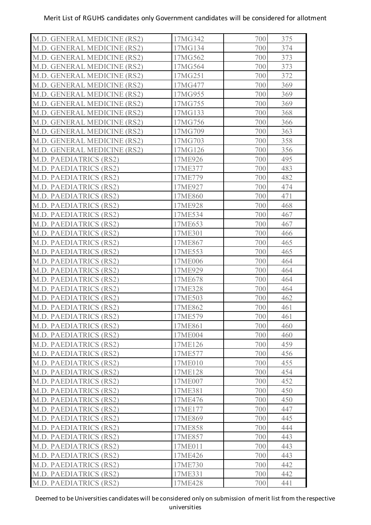| M.D. GENERAL MEDICINE (RS2)   | 17MG342 | 700 | 375 |
|-------------------------------|---------|-----|-----|
| M.D. GENERAL MEDICINE (RS2)   | 17MG134 | 700 | 374 |
| M.D. GENERAL MEDICINE (RS2)   | 17MG562 | 700 | 373 |
| M.D. GENERAL MEDICINE (RS2)   | 17MG564 | 700 | 373 |
| M.D. GENERAL MEDICINE (RS2)   | 17MG251 | 700 | 372 |
| M.D. GENERAL MEDICINE (RS2)   | 17MG477 | 700 | 369 |
| M.D. GENERAL MEDICINE (RS2)   | 17MG955 | 700 | 369 |
| M.D. GENERAL MEDICINE (RS2)   | 17MG755 | 700 | 369 |
| M.D. GENERAL MEDICINE (RS2)   | 17MG133 | 700 | 368 |
| M.D. GENERAL MEDICINE (RS2)   | 17MG756 | 700 | 366 |
| M.D. GENERAL MEDICINE (RS2)   | 17MG709 | 700 | 363 |
| M.D. GENERAL MEDICINE (RS2)   | 17MG703 | 700 | 358 |
| M.D. GENERAL MEDICINE (RS2)   | 17MG126 | 700 | 356 |
| <b>M.D. PAEDIATRICS (RS2)</b> | 17ME926 | 700 | 495 |
| M.D. PAEDIATRICS (RS2)        | 17ME377 | 700 | 483 |
| <b>M.D. PAEDIATRICS (RS2)</b> | 17ME779 | 700 | 482 |
| <b>M.D. PAEDIATRICS (RS2)</b> | 17ME927 | 700 | 474 |
| M.D. PAEDIATRICS (RS2)        | 17ME860 | 700 | 471 |
| M.D. PAEDIATRICS (RS2)        | 17ME928 | 700 | 468 |
| <b>M.D. PAEDIATRICS (RS2)</b> | 17ME534 | 700 | 467 |
| M.D. PAEDIATRICS (RS2)        | 17ME653 | 700 | 467 |
| <b>M.D. PAEDIATRICS (RS2)</b> | 17ME301 | 700 | 466 |
| M.D. PAEDIATRICS (RS2)        | 17ME867 | 700 | 465 |
| <b>M.D. PAEDIATRICS (RS2)</b> | 17ME553 | 700 | 465 |
| M.D. PAEDIATRICS (RS2)        | 17ME006 | 700 | 464 |
| M.D. PAEDIATRICS (RS2)        | 17ME929 | 700 | 464 |
| M.D. PAEDIATRICS (RS2)        | 17ME678 | 700 | 464 |
| <b>M.D. PAEDIATRICS (RS2)</b> | 17ME328 | 700 | 464 |
| <b>M.D. PAEDIATRICS (RS2)</b> | 17ME503 | 700 | 462 |
| M.D. PAEDIATRICS (RS2)        | 17ME862 | 700 | 461 |
| M.D. PAEDIATRICS (RS2)        | 17ME579 | 700 | 461 |
| M.D. PAEDIATRICS (RS2)        | 17ME861 | 700 | 460 |
| M.D. PAEDIATRICS (RS2)        | 17ME004 | 700 | 460 |
| M.D. PAEDIATRICS (RS2)        | 17ME126 | 700 | 459 |
| M.D. PAEDIATRICS (RS2)        | 17ME577 | 700 | 456 |
| M.D. PAEDIATRICS (RS2)        | 17ME010 | 700 | 455 |
| M.D. PAEDIATRICS (RS2)        | 17ME128 | 700 | 454 |
| M.D. PAEDIATRICS (RS2)        | 17ME007 | 700 | 452 |
| <b>M.D. PAEDIATRICS (RS2)</b> | 17ME381 | 700 | 450 |
| M.D. PAEDIATRICS (RS2)        | 17ME476 | 700 | 450 |
| M.D. PAEDIATRICS (RS2)        | 17ME177 | 700 | 447 |
| M.D. PAEDIATRICS (RS2)        | 17ME869 | 700 | 445 |
| M.D. PAEDIATRICS (RS2)        | 17ME858 | 700 | 444 |
| M.D. PAEDIATRICS (RS2)        | 17ME857 | 700 | 443 |
| M.D. PAEDIATRICS (RS2)        | 17ME011 | 700 | 443 |
| M.D. PAEDIATRICS (RS2)        | 17ME426 | 700 | 443 |
| M.D. PAEDIATRICS (RS2)        | 17ME730 | 700 | 442 |
| M.D. PAEDIATRICS (RS2)        | 17ME331 | 700 | 442 |
| M.D. PAEDIATRICS (RS2)        | 17ME428 | 700 | 441 |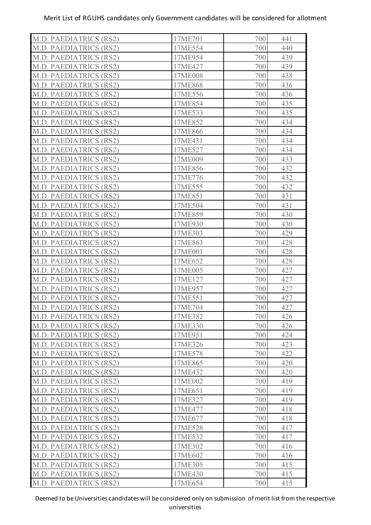| M.D. PAEDIATRICS (RS2)        | 17ME701 | 700 | 441 |
|-------------------------------|---------|-----|-----|
| <b>M.D. PAEDIATRICS (RS2)</b> | 17ME554 | 700 | 440 |
| M.D. PAEDIATRICS (RS2)        | 17ME954 | 700 | 439 |
| <b>M.D. PAEDIATRICS (RS2)</b> | 17ME427 | 700 | 439 |
| M.D. PAEDIATRICS (RS2)        | 17ME008 | 700 | 438 |
| M.D. PAEDIATRICS (RS2)        | 17ME868 | 700 | 436 |
| M.D. PAEDIATRICS (RS2)        | 17ME556 | 700 | 436 |
| <b>M.D. PAEDIATRICS (RS2)</b> | 17ME854 | 700 | 435 |
| M.D. PAEDIATRICS (RS2)        | 17ME533 | 700 | 435 |
| M.D. PAEDIATRICS (RS2)        | 17ME852 | 700 | 434 |
| M.D. PAEDIATRICS (RS2)        | 17ME866 | 700 | 434 |
| M.D. PAEDIATRICS (RS2)        | 17ME431 | 700 | 434 |
| <b>M.D. PAEDIATRICS (RS2)</b> | 17ME527 | 700 | 434 |
| <b>M.D. PAEDIATRICS (RS2)</b> | 17ME009 | 700 | 433 |
| <b>M.D. PAEDIATRICS (RS2)</b> | 17ME856 | 700 | 432 |
| <b>M.D. PAEDIATRICS (RS2)</b> | 17ME776 | 700 | 432 |
| <b>M.D. PAEDIATRICS (RS2)</b> | 17ME555 | 700 | 432 |
| <b>M.D. PAEDIATRICS (RS2)</b> | 17ME851 | 700 | 431 |
| <b>M.D. PAEDIATRICS (RS2)</b> | 17ME504 | 700 | 431 |
| M.D. PAEDIATRICS (RS2)        | 17ME859 | 700 | 430 |
| M.D. PAEDIATRICS (RS2)        | 17ME930 | 700 | 430 |
| <b>M.D. PAEDIATRICS (RS2)</b> | 17ME303 | 700 | 429 |
| M.D. PAEDIATRICS (RS2)        | 17ME863 | 700 | 428 |
| <b>M.D. PAEDIATRICS (RS2)</b> | 17ME001 | 700 | 428 |
| <b>M.D. PAEDIATRICS (RS2)</b> | 17ME652 | 700 | 428 |
| M.D. PAEDIATRICS (RS2)        | 17ME005 | 700 | 427 |
| M.D. PAEDIATRICS (RS2)        | 17ME127 | 700 | 427 |
| M.D. PAEDIATRICS (RS2)        | 17ME957 | 700 | 427 |
| M.D. PAEDIATRICS (RS2)        | 17ME551 | 700 | 427 |
| M.D. PAEDIATRICS (RS2)        | 17ME704 | 700 | 427 |
| M.D. PAEDIATRICS (RS2)        | 17ME382 | 700 | 426 |
| M.D. PAEDIATRICS (RS2)        | 17ME330 | 700 | 426 |
| M.D. PAEDIATRICS (RS2)        | 17ME951 | 700 | 424 |
| <b>M.D. PAEDIATRICS (RS2)</b> | 17ME326 | 700 | 423 |
| M.D. PAEDIATRICS (RS2)        | 17ME578 | 700 | 422 |
| <b>M.D. PAEDIATRICS (RS2)</b> | 17ME865 | 700 | 420 |
| M.D. PAEDIATRICS (RS2)        | 17ME432 | 700 | 420 |
| M.D. PAEDIATRICS (RS2)        | 17ME002 | 700 | 419 |
| M.D. PAEDIATRICS (RS2)        | 17ME651 | 700 | 419 |
| M.D. PAEDIATRICS (RS2)        | 17ME327 | 700 | 419 |
| M.D. PAEDIATRICS (RS2)        | 17ME477 | 700 | 418 |
| M.D. PAEDIATRICS (RS2)        | 17ME677 | 700 | 418 |
| M.D. PAEDIATRICS (RS2)        | 17ME528 | 700 | 417 |
| <b>M.D. PAEDIATRICS (RS2)</b> | 17ME532 | 700 | 417 |
| M.D. PAEDIATRICS (RS2)        | 17ME302 | 700 | 416 |
| <b>M.D. PAEDIATRICS (RS2)</b> | 17ME602 | 700 | 416 |
| M.D. PAEDIATRICS (RS2)        | 17ME305 | 700 | 415 |
| <b>M.D. PAEDIATRICS (RS2)</b> | 17ME430 | 700 | 415 |
| M.D. PAEDIATRICS (RS2)        | 17ME654 | 700 | 415 |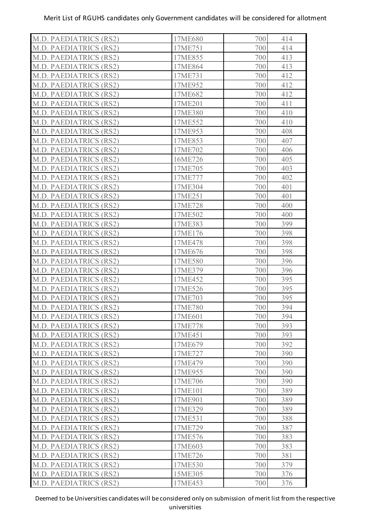| M.D. PAEDIATRICS (RS2)        | 17ME680 | 700 | 414 |
|-------------------------------|---------|-----|-----|
| <b>M.D. PAEDIATRICS (RS2)</b> | 17ME751 | 700 | 414 |
| M.D. PAEDIATRICS (RS2)        | 17ME855 | 700 | 413 |
| M.D. PAEDIATRICS (RS2)        | 17ME864 | 700 | 413 |
| M.D. PAEDIATRICS (RS2)        | 17ME731 | 700 | 412 |
| M.D. PAEDIATRICS (RS2)        | 17ME952 | 700 | 412 |
| M.D. PAEDIATRICS (RS2)        | 17ME682 | 700 | 412 |
| M.D. PAEDIATRICS (RS2)        | 17ME201 | 700 | 411 |
| M.D. PAEDIATRICS (RS2)        | 17ME380 | 700 | 410 |
| M.D. PAEDIATRICS (RS2)        | 17ME552 | 700 | 410 |
| M.D. PAEDIATRICS (RS2)        | 17ME953 | 700 | 408 |
| <b>M.D. PAEDIATRICS (RS2)</b> | 17ME853 | 700 | 407 |
| <b>M.D. PAEDIATRICS (RS2)</b> | 17ME702 | 700 | 406 |
| <b>M.D. PAEDIATRICS (RS2)</b> | 16ME726 | 700 | 405 |
| <b>M.D. PAEDIATRICS (RS2)</b> | 17ME705 | 700 | 403 |
| M.D. PAEDIATRICS (RS2)        | 17ME777 | 700 | 402 |
| M.D. PAEDIATRICS (RS2)        | 17ME304 | 700 | 401 |
| M.D. PAEDIATRICS (RS2)        | 17ME251 | 700 | 401 |
| <b>M.D. PAEDIATRICS (RS2)</b> | 17ME728 | 700 | 400 |
| M.D. PAEDIATRICS (RS2)        | 17ME502 | 700 | 400 |
| M.D. PAEDIATRICS (RS2)        | 17ME383 | 700 | 399 |
| <b>M.D. PAEDIATRICS (RS2)</b> | 17ME176 | 700 | 398 |
| M.D. PAEDIATRICS (RS2)        | 17ME478 | 700 | 398 |
| M.D. PAEDIATRICS (RS2)        | 17ME676 | 700 | 398 |
| M.D. PAEDIATRICS (RS2)        | 17ME580 | 700 | 396 |
| M.D. PAEDIATRICS (RS2)        | 17ME379 | 700 | 396 |
| M.D. PAEDIATRICS (RS2)        | 17ME452 | 700 | 395 |
| M.D. PAEDIATRICS (RS2)        | 17ME526 | 700 | 395 |
| M.D. PAEDIATRICS (RS2)        | 17ME703 | 700 | 395 |
| M.D. PAEDIATRICS (RS2)        | 17ME780 | 700 | 394 |
| M.D. PAEDIATRICS (RS2)        | 17ME601 | 700 | 394 |
| M.D. PAEDIATRICS (RS2)        | 17ME778 | 700 | 393 |
| <b>M.D. PAEDIATRICS (RS2)</b> | 17ME451 | 700 | 393 |
| M.D. PAEDIATRICS (RS2)        | 17ME679 | 700 | 392 |
| M.D. PAEDIATRICS (RS2)        | 17ME727 | 700 | 390 |
| M.D. PAEDIATRICS (RS2)        | 17ME479 | 700 | 390 |
| M.D. PAEDIATRICS (RS2)        | 17ME955 | 700 | 390 |
| M.D. PAEDIATRICS (RS2)        | 17ME706 | 700 | 390 |
| M.D. PAEDIATRICS (RS2)        | 17ME101 | 700 | 389 |
| M.D. PAEDIATRICS (RS2)        | 17ME901 | 700 | 389 |
| M.D. PAEDIATRICS (RS2)        | 17ME329 | 700 | 389 |
| <b>M.D. PAEDIATRICS (RS2)</b> | 17ME531 | 700 | 388 |
| M.D. PAEDIATRICS (RS2)        | 17ME729 | 700 | 387 |
| <b>M.D. PAEDIATRICS (RS2)</b> | 17ME576 | 700 | 383 |
| M.D. PAEDIATRICS (RS2)        | 17ME603 | 700 | 383 |
| <b>M.D. PAEDIATRICS (RS2)</b> | 17ME726 | 700 | 381 |
| M.D. PAEDIATRICS (RS2)        | 17ME530 | 700 | 379 |
| M.D. PAEDIATRICS (RS2)        | 15ME305 | 700 | 376 |
| M.D. PAEDIATRICS (RS2)        | 17ME453 | 700 | 376 |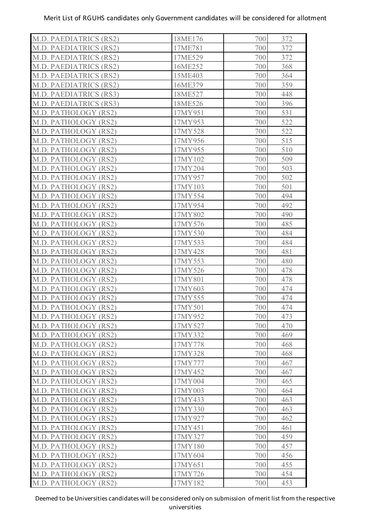| M.D. PAEDIATRICS (RS2)        | 18ME176 | 700 | 372 |
|-------------------------------|---------|-----|-----|
| <b>M.D. PAEDIATRICS (RS2)</b> | 17ME781 | 700 | 372 |
| <b>M.D. PAEDIATRICS (RS2)</b> | 17ME529 | 700 | 372 |
| <b>M.D. PAEDIATRICS (RS2)</b> | 16ME252 | 700 | 368 |
| <b>M.D. PAEDIATRICS (RS2)</b> | 15ME403 | 700 | 364 |
| <b>M.D. PAEDIATRICS (RS2)</b> | 16ME379 | 700 | 359 |
| M.D. PAEDIATRICS (RS3)        | 18ME527 | 700 | 448 |
| M.D. PAEDIATRICS (RS3)        | 18ME526 | 700 | 396 |
| M.D. PATHOLOGY (RS2)          | 17MY951 | 700 | 531 |
| M.D. PATHOLOGY (RS2)          | 17MY953 | 700 | 522 |
| M.D. PATHOLOGY (RS2)          | 17MY528 | 700 | 522 |
| M.D. PATHOLOGY (RS2)          | 17MY956 | 700 | 515 |
| M.D. PATHOLOGY (RS2)          | 17MY955 | 700 | 510 |
| M.D. PATHOLOGY (RS2)          | 17MY102 | 700 | 509 |
| M.D. PATHOLOGY (RS2)          | 17MY204 | 700 | 503 |
| M.D. PATHOLOGY (RS2)          | 17MY957 | 700 | 502 |
| M.D. PATHOLOGY (RS2)          | 17MY103 | 700 | 501 |
| M.D. PATHOLOGY (RS2)          | 17MY554 | 700 | 494 |
| M.D. PATHOLOGY (RS2)          | 17MY954 | 700 | 492 |
| M.D. PATHOLOGY (RS2)          | 17MY802 | 700 | 490 |
| M.D. PATHOLOGY (RS2)          | 17MY576 | 700 | 485 |
| M.D. PATHOLOGY (RS2)          | 17MY530 | 700 | 484 |
| M.D. PATHOLOGY (RS2)          | 17MY533 | 700 | 484 |
| M.D. PATHOLOGY (RS2)          | 17MY428 | 700 | 481 |
| M.D. PATHOLOGY (RS2)          | 17MY553 | 700 | 480 |
| M.D. PATHOLOGY (RS2)          | 17MY526 | 700 | 478 |
| M.D. PATHOLOGY (RS2)          | 17MY801 | 700 | 478 |
| M.D. PATHOLOGY (RS2)          | 17MY603 | 700 | 474 |
| M.D. PATHOLOGY (RS2)          | 17MY555 | 700 | 474 |
| M.D. PATHOLOGY (RS2)          | 17MY501 | 700 | 474 |
| M.D. PATHOLOGY (RS2)          | 17MY952 | 700 | 473 |
| M.D. PATHOLOGY (RS2)          | 17MY527 | 700 | 470 |
| M.D. PATHOLOGY (RS2)          | 17MY332 | 700 | 469 |
| M.D. PATHOLOGY (RS2)          | 17MY778 | 700 | 468 |
| M.D. PATHOLOGY (RS2)          | 17MY328 | 700 | 468 |
| M.D. PATHOLOGY (RS2)          | 17MY777 | 700 | 467 |
| M.D. PATHOLOGY (RS2)          | 17MY452 | 700 | 467 |
| M.D. PATHOLOGY (RS2)          | 17MY004 | 700 | 465 |
| M.D. PATHOLOGY (RS2)          | 17MY003 | 700 | 464 |
| M.D. PATHOLOGY (RS2)          | 17MY433 | 700 | 463 |
| M.D. PATHOLOGY (RS2)          | 17MY330 | 700 | 463 |
| M.D. PATHOLOGY (RS2)          | 17MY927 | 700 | 462 |
| M.D. PATHOLOGY (RS2)          | 17MY451 | 700 | 461 |
| M.D. PATHOLOGY (RS2)          | 17MY327 | 700 | 459 |
| M.D. PATHOLOGY (RS2)          | 17MY180 | 700 | 457 |
| M.D. PATHOLOGY (RS2)          | 17MY604 | 700 | 456 |
| M.D. PATHOLOGY (RS2)          | 17MY651 | 700 | 455 |
| M.D. PATHOLOGY (RS2)          | 17MY726 | 700 | 454 |
| M.D. PATHOLOGY (RS2)          | 17MY182 | 700 | 453 |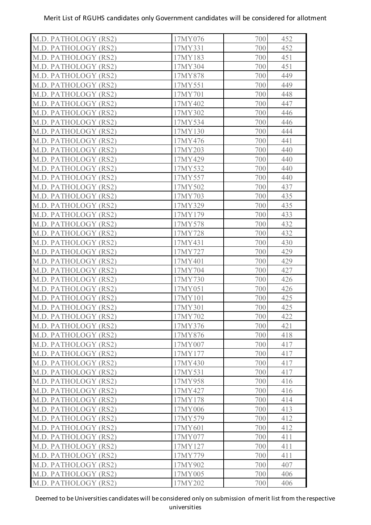| M.D. PATHOLOGY (RS2) | 17MY076 | 700 | 452 |
|----------------------|---------|-----|-----|
| M.D. PATHOLOGY (RS2) | 17MY331 | 700 | 452 |
| M.D. PATHOLOGY (RS2) | 17MY183 | 700 | 451 |
| M.D. PATHOLOGY (RS2) | 17MY304 | 700 | 451 |
| M.D. PATHOLOGY (RS2) | 17MY878 | 700 | 449 |
| M.D. PATHOLOGY (RS2) | 17MY551 | 700 | 449 |
| M.D. PATHOLOGY (RS2) | 17MY701 | 700 | 448 |
| M.D. PATHOLOGY (RS2) | 17MY402 | 700 | 447 |
| M.D. PATHOLOGY (RS2) | 17MY302 | 700 | 446 |
| M.D. PATHOLOGY (RS2) | 17MY534 | 700 | 446 |
| M.D. PATHOLOGY (RS2) | 17MY130 | 700 | 444 |
| M.D. PATHOLOGY (RS2) | 17MY476 | 700 | 441 |
| M.D. PATHOLOGY (RS2) | 17MY203 | 700 | 440 |
| M.D. PATHOLOGY (RS2) | 17MY429 | 700 | 440 |
| M.D. PATHOLOGY (RS2) | 17MY532 | 700 | 440 |
| M.D. PATHOLOGY (RS2) | 17MY557 | 700 | 440 |
| M.D. PATHOLOGY (RS2) | 17MY502 | 700 | 437 |
| M.D. PATHOLOGY (RS2) | 17MY703 | 700 | 435 |
| M.D. PATHOLOGY (RS2) | 17MY329 | 700 | 435 |
| M.D. PATHOLOGY (RS2) | 17MY179 | 700 | 433 |
| M.D. PATHOLOGY (RS2) | 17MY578 | 700 | 432 |
| M.D. PATHOLOGY (RS2) | 17MY728 | 700 | 432 |
| M.D. PATHOLOGY (RS2) | 17MY431 | 700 | 430 |
| M.D. PATHOLOGY (RS2) | 17MY727 | 700 | 429 |
| M.D. PATHOLOGY (RS2) | 17MY401 | 700 | 429 |
| M.D. PATHOLOGY (RS2) | 17MY704 | 700 | 427 |
| M.D. PATHOLOGY (RS2) | 17MY730 | 700 | 426 |
| M.D. PATHOLOGY (RS2) | 17MY051 | 700 | 426 |
| M.D. PATHOLOGY (RS2) | 17MY101 | 700 | 425 |
| M.D. PATHOLOGY (RS2) | 17MY301 | 700 | 425 |
| M.D. PATHOLOGY (RS2) | 17MY702 | 700 | 422 |
| M.D. PATHOLOGY (RS2) | 17MY376 | 700 | 421 |
| M.D. PATHOLOGY (RS2) | 17MY876 | 700 | 418 |
| M.D. PATHOLOGY (RS2) | 17MY007 | 700 | 417 |
| M.D. PATHOLOGY (RS2) | 17MY177 | 700 | 417 |
| M.D. PATHOLOGY (RS2) | 17MY430 | 700 | 417 |
| M.D. PATHOLOGY (RS2) | 17MY531 | 700 | 417 |
| M.D. PATHOLOGY (RS2) | 17MY958 | 700 | 416 |
| M.D. PATHOLOGY (RS2) | 17MY427 | 700 | 416 |
| M.D. PATHOLOGY (RS2) | 17MY178 | 700 | 414 |
| M.D. PATHOLOGY (RS2) | 17MY006 | 700 | 413 |
| M.D. PATHOLOGY (RS2) | 17MY579 | 700 | 412 |
| M.D. PATHOLOGY (RS2) | 17MY601 | 700 | 412 |
| M.D. PATHOLOGY (RS2) | 17MY077 | 700 | 411 |
| M.D. PATHOLOGY (RS2) | 17MY127 | 700 | 411 |
| M.D. PATHOLOGY (RS2) | 17MY779 | 700 | 411 |
| M.D. PATHOLOGY (RS2) | 17MY902 | 700 | 407 |
| M.D. PATHOLOGY (RS2) | 17MY005 | 700 | 406 |
| M.D. PATHOLOGY (RS2) | 17MY202 | 700 | 406 |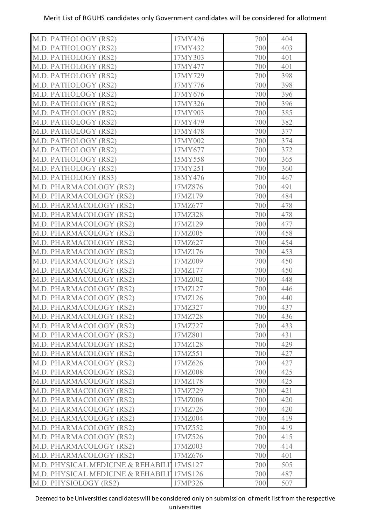| M.D. PATHOLOGY (RS2)               | 17MY426 | 700 | 404 |
|------------------------------------|---------|-----|-----|
| M.D. PATHOLOGY (RS2)               | 17MY432 | 700 | 403 |
| M.D. PATHOLOGY (RS2)               | 17MY303 | 700 | 401 |
| M.D. PATHOLOGY (RS2)               | 17MY477 | 700 | 401 |
| M.D. PATHOLOGY (RS2)               | 17MY729 | 700 | 398 |
| M.D. PATHOLOGY (RS2)               | 17MY776 | 700 | 398 |
| M.D. PATHOLOGY (RS2)               | 17MY676 | 700 | 396 |
| M.D. PATHOLOGY (RS2)               | 17MY326 | 700 | 396 |
| M.D. PATHOLOGY (RS2)               | 17MY903 | 700 | 385 |
| M.D. PATHOLOGY (RS2)               | 17MY479 | 700 | 382 |
| M.D. PATHOLOGY (RS2)               | 17MY478 | 700 | 377 |
| M.D. PATHOLOGY (RS2)               | 17MY002 | 700 | 374 |
| M.D. PATHOLOGY (RS2)               | 17MY677 | 700 | 372 |
| M.D. PATHOLOGY (RS2)               | 15MY558 | 700 | 365 |
| M.D. PATHOLOGY (RS2)               | 17MY251 | 700 | 360 |
| M.D. PATHOLOGY (RS3)               | 18MY476 | 700 | 467 |
| M.D. PHARMACOLOGY (RS2)            | 17MZ876 | 700 | 491 |
| M.D. PHARMACOLOGY (RS2)            | 17MZ179 | 700 | 484 |
| M.D. PHARMACOLOGY (RS2)            | 17MZ677 | 700 | 478 |
| M.D. PHARMACOLOGY (RS2)            | 17MZ328 | 700 | 478 |
| M.D. PHARMACOLOGY (RS2)            | 17MZ129 | 700 | 477 |
| M.D. PHARMACOLOGY (RS2)            | 17MZ005 | 700 | 458 |
| M.D. PHARMACOLOGY (RS2)            | 17MZ627 | 700 | 454 |
| M.D. PHARMACOLOGY (RS2)            | 17MZ176 | 700 | 453 |
| M.D. PHARMACOLOGY (RS2)            | 17MZ009 | 700 | 450 |
| M.D. PHARMACOLOGY (RS2)            | 17MZ177 | 700 | 450 |
| M.D. PHARMACOLOGY (RS2)            | 17MZ002 | 700 | 448 |
| M.D. PHARMACOLOGY (RS2)            | 17MZ127 | 700 | 446 |
| M.D. PHARMACOLOGY (RS2)            | 17MZ126 | 700 | 440 |
| M.D. PHARMACOLOGY (RS2)            | 17MZ327 | 700 | 437 |
| M.D. PHARMACOLOGY (RS2)            | 17MZ728 | 700 | 436 |
| M.D. PHARMACOLOGY (RS2)            | 17MZ727 | 700 | 433 |
| M.D. PHARMACOLOGY (RS2)            | 17MZ801 | 700 | 431 |
| M.D. PHARMACOLOGY (RS2)            | 17MZ128 | 700 | 429 |
| M.D. PHARMACOLOGY (RS2)            | 17MZ551 | 700 | 427 |
| M.D. PHARMACOLOGY (RS2)            | 17MZ626 | 700 | 427 |
| M.D. PHARMACOLOGY (RS2)            | 17MZ008 | 700 | 425 |
| M.D. PHARMACOLOGY (RS2)            | 17MZ178 | 700 | 425 |
| M.D. PHARMACOLOGY (RS2)            | 17MZ729 | 700 | 421 |
| M.D. PHARMACOLOGY (RS2)            | 17MZ006 | 700 | 420 |
| M.D. PHARMACOLOGY (RS2)            | 17MZ726 | 700 | 420 |
| M.D. PHARMACOLOGY (RS2)            | 17MZ004 | 700 | 419 |
| M.D. PHARMACOLOGY (RS2)            | 17MZ552 | 700 | 419 |
| M.D. PHARMACOLOGY (RS2)            | 17MZ526 | 700 | 415 |
| M.D. PHARMACOLOGY (RS2)            | 17MZ003 | 700 | 414 |
| M.D. PHARMACOLOGY (RS2)            | 17MZ676 | 700 | 401 |
| M.D. PHYSICAL MEDICINE & REHABILIT | 17MS127 | 700 | 505 |
| M.D. PHYSICAL MEDICINE & REHABILIT | 17MS126 | 700 | 487 |
| M.D. PHYSIOLOGY (RS2)              | 17MP326 | 700 | 507 |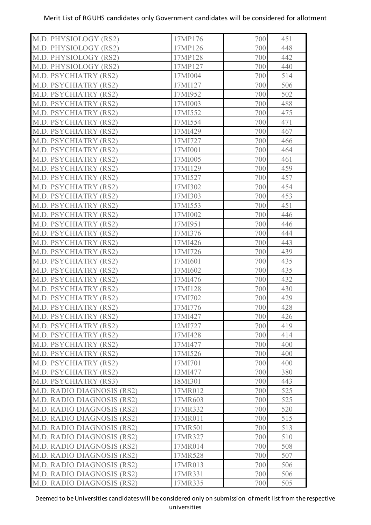| M.D. PHYSIOLOGY (RS2)             | 17MP176 | 700 | 451 |
|-----------------------------------|---------|-----|-----|
| M.D. PHYSIOLOGY (RS2)             | 17MP126 | 700 | 448 |
| M.D. PHYSIOLOGY (RS2)             | 17MP128 | 700 | 442 |
| M.D. PHYSIOLOGY (RS2)             | 17MP127 | 700 | 440 |
| M.D. PSYCHIATRY (RS2)             | 17MI004 | 700 | 514 |
| M.D. PSYCHIATRY (RS2)             | 17MI127 | 700 | 506 |
| M.D. PSYCHIATRY (RS2)             | 17MI952 | 700 | 502 |
| M.D. PSYCHIATRY (RS2)             | 17MI003 | 700 | 488 |
| M.D. PSYCHIATRY (RS2)             | 17MI552 | 700 | 475 |
| M.D. PSYCHIATRY (RS2)             | 17MI554 | 700 | 471 |
| M.D. PSYCHIATRY (RS2)             | 17MI429 | 700 | 467 |
| M.D. PSYCHIATRY (RS2)             | 17MI727 | 700 | 466 |
| M.D. PSYCHIATRY (RS2)             | 17MI001 | 700 | 464 |
| M.D. PSYCHIATRY (RS2)             | 17MI005 | 700 | 461 |
| M.D. PSYCHIATRY (RS2)             | 17MI129 | 700 | 459 |
| M.D. PSYCHIATRY (RS2)             | 17MI527 | 700 | 457 |
| M.D. PSYCHIATRY (RS2)             | 17MI302 | 700 | 454 |
| M.D. PSYCHIATRY (RS2)             | 17MI303 | 700 | 453 |
| M.D. PSYCHIATRY (RS2)             | 17MI553 | 700 | 451 |
| M.D. PSYCHIATRY (RS2)             | 17MI002 | 700 | 446 |
| M.D. PSYCHIATRY (RS2)             | 17MI951 | 700 | 446 |
| M.D. PSYCHIATRY (RS2)             | 17MI376 | 700 | 444 |
| M.D. PSYCHIATRY (RS2)             | 17MI426 | 700 | 443 |
| M.D. PSYCHIATRY (RS2)             | 17MI726 | 700 | 439 |
| M.D. PSYCHIATRY (RS2)             | 17MI601 | 700 | 435 |
| M.D. PSYCHIATRY (RS2)             | 17MI602 | 700 | 435 |
| M.D. PSYCHIATRY (RS2)             | 17MI476 | 700 | 432 |
| M.D. PSYCHIATRY (RS2)             | 17MI128 | 700 | 430 |
| M.D. PSYCHIATRY (RS2)             | 17MI702 | 700 | 429 |
| M.D. PSYCHIATRY (RS2)             | 17MI776 | 700 | 428 |
| M.D. PSYCHIATRY (RS2)             | 17MI427 | 700 | 426 |
| M.D. PSYCHIATRY (RS2)             | 12MI727 | 700 | 419 |
| M.D. PSYCHIATRY (RS2)             | 17MI428 | 700 | 414 |
| M.D. PSYCHIATRY (RS2)             | 17MI477 | 700 | 400 |
| M.D. PSYCHIATRY (RS2)             | 17MI526 | 700 | 400 |
| M.D. PSYCHIATRY (RS2)             | 17MI701 | 700 | 400 |
| M.D. PSYCHIATRY (RS2)             | 13MI477 | 700 | 380 |
| M.D. PSYCHIATRY (RS3)             | 18MI301 | 700 | 443 |
| <b>M.D. RADIO DIAGNOSIS (RS2)</b> | 17MR012 | 700 | 525 |
| M.D. RADIO DIAGNOSIS (RS2)        | 17MR603 | 700 | 525 |
| M.D. RADIO DIAGNOSIS (RS2)        | 17MR332 | 700 | 520 |
| M.D. RADIO DIAGNOSIS (RS2)        | 17MR011 | 700 | 515 |
| <b>M.D. RADIO DIAGNOSIS (RS2)</b> | 17MR501 | 700 | 513 |
| M.D. RADIO DIAGNOSIS (RS2)        | 17MR327 | 700 | 510 |
| M.D. RADIO DIAGNOSIS (RS2)        | 17MR014 | 700 | 508 |
| M.D. RADIO DIAGNOSIS (RS2)        | 17MR528 | 700 | 507 |
| M.D. RADIO DIAGNOSIS (RS2)        | 17MR013 | 700 | 506 |
| M.D. RADIO DIAGNOSIS (RS2)        | 17MR331 | 700 | 506 |
| M.D. RADIO DIAGNOSIS (RS2)        | 17MR335 | 700 | 505 |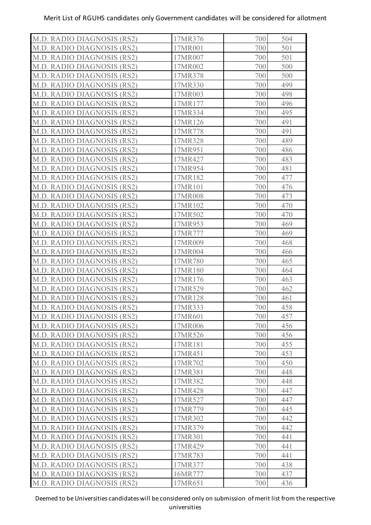| M.D. RADIO DIAGNOSIS (RS2)        | 17MR376 | 700 | 504 |
|-----------------------------------|---------|-----|-----|
| M.D. RADIO DIAGNOSIS (RS2)        | 17MR001 | 700 | 501 |
| M.D. RADIO DIAGNOSIS (RS2)        | 17MR007 | 700 | 501 |
| M.D. RADIO DIAGNOSIS (RS2)        | 17MR002 | 700 | 500 |
| M.D. RADIO DIAGNOSIS (RS2)        | 17MR378 | 700 | 500 |
| M.D. RADIO DIAGNOSIS (RS2)        | 17MR330 | 700 | 499 |
| <b>M.D. RADIO DIAGNOSIS (RS2)</b> | 17MR003 | 700 | 498 |
| M.D. RADIO DIAGNOSIS (RS2)        | 17MR177 | 700 | 496 |
| M.D. RADIO DIAGNOSIS (RS2)        | 17MR334 | 700 | 495 |
| <b>M.D. RADIO DIAGNOSIS (RS2)</b> | 17MR126 | 700 | 491 |
| M.D. RADIO DIAGNOSIS (RS2)        | 17MR778 | 700 | 491 |
| M.D. RADIO DIAGNOSIS (RS2)        | 17MR328 | 700 | 489 |
| M.D. RADIO DIAGNOSIS (RS2)        | 17MR951 | 700 | 486 |
| M.D. RADIO DIAGNOSIS (RS2)        | 17MR427 | 700 | 483 |
| M.D. RADIO DIAGNOSIS (RS2)        | 17MR954 | 700 | 481 |
| M.D. RADIO DIAGNOSIS (RS2)        | 17MR182 | 700 | 477 |
| <b>M.D. RADIO DIAGNOSIS (RS2)</b> | 17MR101 | 700 | 476 |
| M.D. RADIO DIAGNOSIS (RS2)        | 17MR008 | 700 | 473 |
| M.D. RADIO DIAGNOSIS (RS2)        | 17MR102 | 700 | 470 |
| <b>M.D. RADIO DIAGNOSIS (RS2)</b> | 17MR502 | 700 | 470 |
| M.D. RADIO DIAGNOSIS (RS2)        | 17MR953 | 700 | 469 |
| M.D. RADIO DIAGNOSIS (RS2)        | 17MR777 | 700 | 469 |
| M.D. RADIO DIAGNOSIS (RS2)        | 17MR009 | 700 | 468 |
| M.D. RADIO DIAGNOSIS (RS2)        | 17MR004 | 700 | 466 |
| M.D. RADIO DIAGNOSIS (RS2)        | 17MR780 | 700 | 465 |
| M.D. RADIO DIAGNOSIS (RS2)        | 17MR180 | 700 | 464 |
| M.D. RADIO DIAGNOSIS (RS2)        | 17MR176 | 700 | 463 |
| M.D. RADIO DIAGNOSIS (RS2)        | 17MR529 | 700 | 462 |
| M.D. RADIO DIAGNOSIS (RS2)        | 17MR128 | 700 | 461 |
| M.D. RADIO DIAGNOSIS (RS2)        | 17MR333 | 700 | 458 |
| <b>M.D. RADIO DIAGNOSIS (RS2)</b> | 17MR601 | 700 | 457 |
| M.D. RADIO DIAGNOSIS (RS2)        | 17MR006 | 700 | 456 |
| <b>M.D. RADIO DIAGNOSIS (RS2)</b> | 17MR526 | 700 | 456 |
| <b>M.D. RADIO DIAGNOSIS (RS2)</b> | 17MR181 | 700 | 455 |
| M.D. RADIO DIAGNOSIS (RS2)        | 17MR451 | 700 | 453 |
| <b>M.D. RADIO DIAGNOSIS (RS2)</b> | 17MR702 | 700 | 450 |
| M.D. RADIO DIAGNOSIS (RS2)        | 17MR381 | 700 | 448 |
| M.D. RADIO DIAGNOSIS (RS2)        | 17MR382 | 700 | 448 |
| M.D. RADIO DIAGNOSIS (RS2)        | 17MR428 | 700 | 447 |
| M.D. RADIO DIAGNOSIS (RS2)        | 17MR527 | 700 | 447 |
| M.D. RADIO DIAGNOSIS (RS2)        | 17MR779 | 700 | 445 |
| M.D. RADIO DIAGNOSIS (RS2)        | 17MR302 | 700 | 442 |
| M.D. RADIO DIAGNOSIS (RS2)        | 17MR379 | 700 | 442 |
| M.D. RADIO DIAGNOSIS (RS2)        | 17MR301 | 700 | 441 |
| M.D. RADIO DIAGNOSIS (RS2)        | 17MR429 | 700 | 441 |
| M.D. RADIO DIAGNOSIS (RS2)        | 17MR783 | 700 | 441 |
| M.D. RADIO DIAGNOSIS (RS2)        | 17MR377 | 700 | 438 |
| M.D. RADIO DIAGNOSIS (RS2)        | 16MR777 | 700 | 437 |
| M.D. RADIO DIAGNOSIS (RS2)        | 17MR651 | 700 | 436 |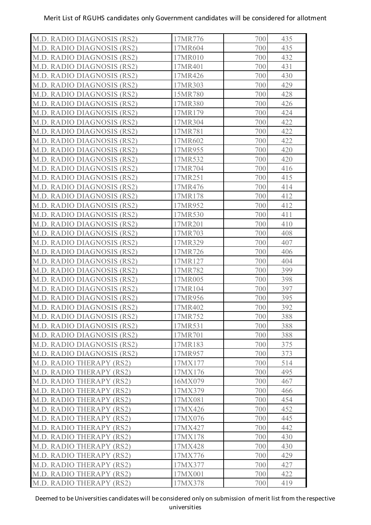| M.D. RADIO DIAGNOSIS (RS2)        | 17MR776 | 700 | 435 |
|-----------------------------------|---------|-----|-----|
| M.D. RADIO DIAGNOSIS (RS2)        | 17MR604 | 700 | 435 |
| M.D. RADIO DIAGNOSIS (RS2)        | 17MR010 | 700 | 432 |
| M.D. RADIO DIAGNOSIS (RS2)        | 17MR401 | 700 | 431 |
| M.D. RADIO DIAGNOSIS (RS2)        | 17MR426 | 700 | 430 |
| M.D. RADIO DIAGNOSIS (RS2)        | 17MR303 | 700 | 429 |
| <b>M.D. RADIO DIAGNOSIS (RS2)</b> | 15MR780 | 700 | 428 |
| M.D. RADIO DIAGNOSIS (RS2)        | 17MR380 | 700 | 426 |
| M.D. RADIO DIAGNOSIS (RS2)        | 17MR179 | 700 | 424 |
| M.D. RADIO DIAGNOSIS (RS2)        | 17MR304 | 700 | 422 |
| M.D. RADIO DIAGNOSIS (RS2)        | 17MR781 | 700 | 422 |
| M.D. RADIO DIAGNOSIS (RS2)        | 17MR602 | 700 | 422 |
| M.D. RADIO DIAGNOSIS (RS2)        | 17MR955 | 700 | 420 |
| M.D. RADIO DIAGNOSIS (RS2)        | 17MR532 | 700 | 420 |
| M.D. RADIO DIAGNOSIS (RS2)        | 17MR704 | 700 | 416 |
| M.D. RADIO DIAGNOSIS (RS2)        | 17MR251 | 700 | 415 |
| M.D. RADIO DIAGNOSIS (RS2)        | 17MR476 | 700 | 414 |
| <b>M.D. RADIO DIAGNOSIS (RS2)</b> | 17MR178 | 700 | 412 |
| M.D. RADIO DIAGNOSIS (RS2)        | 17MR952 | 700 | 412 |
| <b>M.D. RADIO DIAGNOSIS (RS2)</b> | 17MR530 | 700 | 411 |
| M.D. RADIO DIAGNOSIS (RS2)        | 17MR201 | 700 | 410 |
| M.D. RADIO DIAGNOSIS (RS2)        | 17MR703 | 700 | 408 |
| M.D. RADIO DIAGNOSIS (RS2)        | 17MR329 | 700 | 407 |
| M.D. RADIO DIAGNOSIS (RS2)        | 17MR726 | 700 | 406 |
| M.D. RADIO DIAGNOSIS (RS2)        | 17MR127 | 700 | 404 |
| M.D. RADIO DIAGNOSIS (RS2)        | 17MR782 | 700 | 399 |
| M.D. RADIO DIAGNOSIS (RS2)        | 17MR005 | 700 | 398 |
| <b>M.D. RADIO DIAGNOSIS (RS2)</b> | 17MR104 | 700 | 397 |
| M.D. RADIO DIAGNOSIS (RS2)        | 17MR956 | 700 | 395 |
| M.D. RADIO DIAGNOSIS (RS2)        | 17MR402 | 700 | 392 |
| <b>M.D. RADIO DIAGNOSIS (RS2)</b> | 17MR752 | 700 | 388 |
| M.D. RADIO DIAGNOSIS (RS2)        | 17MR531 | 700 | 388 |
| <b>M.D. RADIO DIAGNOSIS (RS2)</b> | 17MR701 | 700 | 388 |
| <b>M.D. RADIO DIAGNOSIS (RS2)</b> | 17MR183 | 700 | 375 |
| M.D. RADIO DIAGNOSIS (RS2)        | 17MR957 | 700 | 373 |
| M.D. RADIO THERAPY (RS2)          | 17MX177 | 700 | 514 |
| M.D. RADIO THERAPY (RS2)          | 17MX176 | 700 | 495 |
| M.D. RADIO THERAPY (RS2)          | 16MX079 | 700 | 467 |
| M.D. RADIO THERAPY (RS2)          | 17MX379 | 700 | 466 |
| M.D. RADIO THERAPY (RS2)          | 17MX081 | 700 | 454 |
| M.D. RADIO THERAPY (RS2)          | 17MX426 | 700 | 452 |
| M.D. RADIO THERAPY (RS2)          | 17MX076 | 700 | 445 |
| M.D. RADIO THERAPY (RS2)          | 17MX427 | 700 | 442 |
| M.D. RADIO THERAPY (RS2)          | 17MX178 | 700 | 430 |
| M.D. RADIO THERAPY (RS2)          | 17MX428 | 700 | 430 |
| M.D. RADIO THERAPY (RS2)          | 17MX776 | 700 | 429 |
| M.D. RADIO THERAPY (RS2)          | 17MX377 | 700 | 427 |
| M.D. RADIO THERAPY (RS2)          | 17MX001 | 700 | 422 |
| M.D. RADIO THERAPY (RS2)          | 17MX378 | 700 | 419 |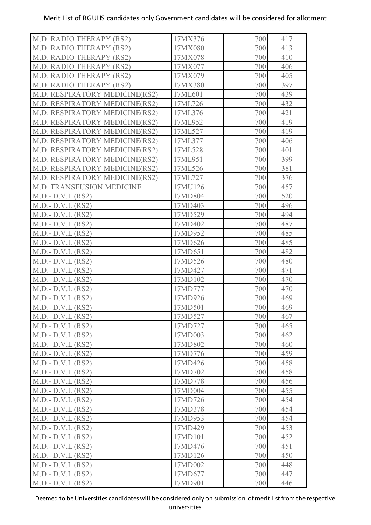| M.D. RADIO THERAPY (RS2)         | 17MX376 | 700 | 417 |
|----------------------------------|---------|-----|-----|
| M.D. RADIO THERAPY (RS2)         | 17MX080 | 700 | 413 |
| M.D. RADIO THERAPY (RS2)         | 17MX078 | 700 | 410 |
| M.D. RADIO THERAPY (RS2)         | 17MX077 | 700 | 406 |
| M.D. RADIO THERAPY (RS2)         | 17MX079 | 700 | 405 |
| M.D. RADIO THERAPY (RS2)         | 17MX380 | 700 | 397 |
| M.D. RESPIRATORY MEDICINE(RS2)   | 17ML601 | 700 | 439 |
| M.D. RESPIRATORY MEDICINE(RS2)   | 17ML726 | 700 | 432 |
| M.D. RESPIRATORY MEDICINE(RS2)   | 17ML376 | 700 | 421 |
| M.D. RESPIRATORY MEDICINE(RS2)   | 17ML952 | 700 | 419 |
| M.D. RESPIRATORY MEDICINE(RS2)   | 17ML527 | 700 | 419 |
| M.D. RESPIRATORY MEDICINE(RS2)   | 17ML377 | 700 | 406 |
| M.D. RESPIRATORY MEDICINE(RS2)   | 17ML528 | 700 | 401 |
| M.D. RESPIRATORY MEDICINE(RS2)   | 17ML951 | 700 | 399 |
| M.D. RESPIRATORY MEDICINE(RS2)   | 17ML526 | 700 | 381 |
| M.D. RESPIRATORY MEDICINE(RS2)   | 17ML727 | 700 | 376 |
| <b>M.D. TRANSFUSION MEDICINE</b> | 17MU126 | 700 | 457 |
| $M.D.- D.V.L (RS2)$              | 17MD804 | 700 | 520 |
| $M.D.- D.V.L (RS2)$              | 17MD403 | 700 | 496 |
| $M.D.- D.V.L (RS2)$              | 17MD529 | 700 | 494 |
| $M.D.- D.V.L (RS2)$              | 17MD402 | 700 | 487 |
| $M.D.- D.V.L (RS2)$              | 17MD952 | 700 | 485 |
| $M.D.- D.V.L (RS2)$              | 17MD626 | 700 | 485 |
| $M.D.- D.V.L (RS2)$              | 17MD651 | 700 | 482 |
| $M.D.- D.V.L (RS2)$              | 17MD526 | 700 | 480 |
| $M.D.- D.V.L (RS2)$              | 17MD427 | 700 | 471 |
| $M.D.- D.V.L (RS2)$              | 17MD102 | 700 | 470 |
| $M.D.- D.V.L (RS2)$              | 17MD777 | 700 | 470 |
| $M.D.- D.V.L (RS2)$              | 17MD926 | 700 | 469 |
| $M.D.- D.V.L (RS2)$              | 17MD501 | 700 | 469 |
| $M.D.- D.V.L (RS2)$              | 17MD527 | 700 | 467 |
| $M.D.- D.V.L (RS2)$              | 17MD727 | 700 | 465 |
| $M.D.- D.V.L (RS2)$              | 17MD003 | 700 | 462 |
| $M.D.- D.V.L (RS2)$              | 17MD802 | 700 | 460 |
| $M.D.- D.V.L (RS2)$              | 17MD776 | 700 | 459 |
|                                  | 17MD426 | 700 | 458 |
| $M.D.- D.V.L (RS2)$              | 17MD702 |     | 458 |
| $M.D.- D.V.L (RS2)$              |         | 700 |     |
| $M.D.- D.V.L (RS2)$              | 17MD778 | 700 | 456 |
| $M.D.- D.V.L (RS2)$              | 17MD004 | 700 | 455 |
| $M.D.- D.V.L (RS2)$              | 17MD726 | 700 | 454 |
| $M.D.- D.V.L (RS2)$              | 17MD378 | 700 | 454 |
| $M.D.- D.V.L (RS2)$              | 17MD953 | 700 | 454 |
| $M.D.- D.V.L (RS2)$              | 17MD429 | 700 | 453 |
| $M.D.- D.V.L (RS2)$              | 17MD101 | 700 | 452 |
| $M.D.- D.V.L (RS2)$              | 17MD476 | 700 | 451 |
| $M.D.- D.V.L (RS2)$              | 17MD126 | 700 | 450 |
| $M.D.- D.V.L (RS2)$              | 17MD002 | 700 | 448 |
| $M.D.- D.V.L (RS2)$              | 17MD677 | 700 | 447 |
| $M.D.- D.V.L (RS2)$              | 17MD901 | 700 | 446 |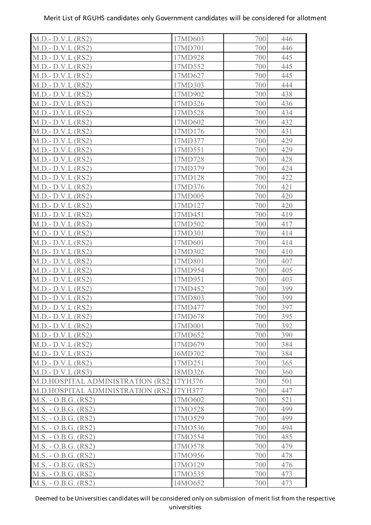| $M.D.- D.V.L (RS2)$                       | 17MD603 | 700 | 446 |
|-------------------------------------------|---------|-----|-----|
| $M.D.- D.V.L (RS2)$                       | 17MD701 | 700 | 446 |
| $M.D.- D.V.L (RS2)$                       | 17MD928 | 700 | 445 |
| $M.D.- D.V.L (RS2)$                       | 17MD552 | 700 | 445 |
| $M.D.- D.V.L (RS2)$                       | 17MD627 | 700 | 445 |
| $M.D.- D.V.L (RS2)$                       | 17MD303 | 700 | 444 |
| $M.D.- D.V.L (RS2)$                       | 17MD902 | 700 | 438 |
| $M.D.- D.V.L (RS2)$                       | 17MD326 | 700 | 436 |
| $M.D.- D.V.L (RS2)$                       | 17MD528 | 700 | 434 |
| $M.D.- D.V.L (RS2)$                       | 17MD602 | 700 | 432 |
| $M.D.- D.V.L (RS2)$                       | 17MD176 | 700 | 431 |
| $M.D.- D.V.L (RS2)$                       | 17MD377 | 700 | 429 |
| $M.D.- D.V.L (RS2)$                       | 17MD551 | 700 | 429 |
| $M.D.- D.V.L (RS2)$                       | 17MD728 | 700 | 428 |
| $M.D.- D.V.L (RS2)$                       | 17MD379 | 700 | 424 |
| $M.D.- D.V.L (RS2)$                       | 17MD128 | 700 | 422 |
| $M.D.- D.V.L (RS2)$                       | 17MD376 | 700 | 421 |
| $M.D.- D.V.L (RS2)$                       | 17MD005 | 700 | 420 |
| $M.D.- D.V.L (RS2)$                       | 17MD127 | 700 | 420 |
| $M.D.- D.V.L (RS2)$                       | 17MD451 | 700 | 419 |
| $M.D.- D.V.L (RS2)$                       | 17MD502 | 700 | 417 |
| $M.D.- D.V.L (RS2)$                       | 17MD301 | 700 | 414 |
| $M.D.- D.V.L (RS2)$                       | 17MD601 | 700 | 414 |
| $M.D.- D.V.L (RS2)$                       | 17MD302 | 700 | 410 |
| $M.D.- D.V.L (RS2)$                       | 17MD801 | 700 | 407 |
| $M.D.- D.V.L (RS2)$                       | 17MD954 | 700 | 405 |
| $M.D.- D.V.L (RS2)$                       | 17MD951 | 700 | 403 |
| $M.D.- D.V.L (RS2)$                       | 17MD452 | 700 | 399 |
| $M.D.- D.V.L (RS2)$                       | 17MD803 | 700 | 399 |
| $M.D.- D.V.L (RS2)$                       | 17MD477 | 700 | 397 |
| $M.D.- D.V.L (RS2)$                       | 17MD678 | 700 | 395 |
| $M.D.- D.V.L (RS2)$                       | 17MD001 | 700 | 392 |
| $M.D.- D.V.L (RS2)$                       | 17MD652 | 700 | 390 |
| $M.D.- D.V.L (RS2)$                       | 17MD679 | 700 | 384 |
| $M.D.- D.V.L (RS2)$                       | 16MD702 | 700 | 384 |
| $M.D.- D.V.L (RS2)$                       | 17MD251 | 700 | 365 |
| $M.D.-D.V.L (RS3)$                        | 18MD326 | 700 | 360 |
| M.D.HOSPITAL ADMINISTRATION (RS2) 17YH376 |         | 700 | 501 |
| M.D.HOSPITAL ADMINISTRATION (RS2)17YH377  |         | 700 | 447 |
| $M.S. - O.B.G. (RS2)$                     | 17MO602 | 700 | 521 |
| M.S. - O.B.G. (RS2)                       | 17MO528 | 700 | 499 |
| $M.S. - O.B.G. (RS2)$                     | 17MO529 | 700 | 499 |
| $M.S. - O.B.G. (RS2)$                     | 17MO536 | 700 | 494 |
| $M.S. - O.B.G. (RS2)$                     | 17MO554 | 700 | 485 |
| $M.S. - O.B.G. (RS2)$                     | 17MO578 | 700 | 479 |
| $M.S. - O.B.G. (RS2)$                     | 17MO956 | 700 | 478 |
| $M.S. - O.B.G. (RS2)$                     | 17MO129 | 700 | 476 |
| $M.S. - O.B.G. (RS2)$                     | 17MO535 | 700 | 473 |
| M.S. - O.B.G. (RS2)                       | 14MO652 | 700 | 473 |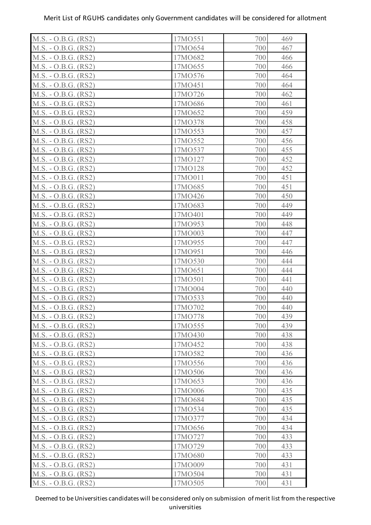| M.S. - O.B.G. (RS2)   | 17MO551 | 700 | 469 |
|-----------------------|---------|-----|-----|
| M.S. - O.B.G. (RS2)   | 17MO654 | 700 | 467 |
| $M.S. - O.B.G. (RS2)$ | 17MO682 | 700 | 466 |
| $M.S. - O.B.G. (RS2)$ | 17MO655 | 700 | 466 |
| $M.S. - O.B.G. (RS2)$ | 17MO576 | 700 | 464 |
| $M.S. - O.B.G. (RS2)$ | 17MO451 | 700 | 464 |
| $M.S. - O.B.G. (RS2)$ | 17MO726 | 700 | 462 |
| $M.S. - O.B.G. (RS2)$ | 17MO686 | 700 | 461 |
| $M.S. - O.B.G. (RS2)$ | 17MO652 | 700 | 459 |
| M.S. - O.B.G. (RS2)   | 17MO378 | 700 | 458 |
| $M.S. - O.B.G. (RS2)$ | 17MO553 | 700 | 457 |
| $M.S. - O.B.G. (RS2)$ | 17MO552 | 700 | 456 |
| $M.S. - O.B.G. (RS2)$ | 17MO537 | 700 | 455 |
| $M.S. - O.B.G. (RS2)$ | 17MO127 | 700 | 452 |
| $M.S. - O.B.G. (RS2)$ | 17MO128 | 700 | 452 |
| M.S. - O.B.G. (RS2)   | 17MO011 | 700 | 451 |
| M.S. - O.B.G. (RS2)   | 17MO685 | 700 | 451 |
| $M.S. - O.B.G. (RS2)$ | 17MO426 | 700 | 450 |
| $M.S. - O.B.G. (RS2)$ | 17MO683 | 700 | 449 |
| $M.S. - O.B.G. (RS2)$ | 17MO401 | 700 | 449 |
| $M.S. - O.B.G. (RS2)$ | 17MO953 | 700 | 448 |
| $M.S. - O.B.G. (RS2)$ | 17MO003 | 700 | 447 |
| $M.S. - O.B.G. (RS2)$ | 17MO955 | 700 | 447 |
| M.S. - O.B.G. (RS2)   | 17MO951 | 700 | 446 |
| $M.S. - O.B.G. (RS2)$ | 17MO530 | 700 | 444 |
| $M.S. - O.B.G. (RS2)$ | 17MO651 | 700 | 444 |
| $M.S. - O.B.G. (RS2)$ | 17MO501 | 700 | 441 |
| $M.S. - O.B.G. (RS2)$ | 17MO004 | 700 | 440 |
| $M.S. - O.B.G. (RS2)$ | 17MO533 | 700 | 440 |
| $M.S. - O.B.G. (RS2)$ | 17MO702 | 700 | 440 |
| $M.S. - O.B.G. (RS2)$ | 17MO778 | 700 | 439 |
| M.S. - O.B.G. (RS2)   | 17MO555 | 700 | 439 |
| $M.S. - O.B.G. (RS2)$ | 17MO430 | 700 | 438 |
| $M.S. - O.B.G. (RS2)$ | 17MO452 | 700 | 438 |
| M.S. - O.B.G. (RS2)   | 17MO582 | 700 | 436 |
| M.S. - O.B.G. (RS2)   | 17MO556 | 700 | 436 |
| $M.S. - O.B.G. (RS2)$ | 17MO506 | 700 | 436 |
| $M.S. - O.B.G. (RS2)$ | 17MO653 | 700 | 436 |
| $M.S. - O.B.G. (RS2)$ | 17MO006 | 700 | 435 |
| $M.S. - O.B.G. (RS2)$ | 17MO684 | 700 | 435 |
| $M.S. - O.B.G. (RS2)$ | 17MO534 | 700 | 435 |
| $M.S. - O.B.G. (RS2)$ | 17MO377 | 700 | 434 |
| $M.S. - O.B.G. (RS2)$ | 17MO656 | 700 | 434 |
| $M.S. - O.B.G. (RS2)$ | 17MO727 | 700 | 433 |
| M.S. - O.B.G. (RS2)   | 17MO729 | 700 | 433 |
| M.S. - O.B.G. (RS2)   | 17MO680 | 700 | 433 |
| $M.S. - O.B.G. (RS2)$ | 17MO009 | 700 | 431 |
| M.S. - O.B.G. (RS2)   | 17MO504 | 700 | 431 |
| M.S. - O.B.G. (RS2)   | 17MO505 | 700 | 431 |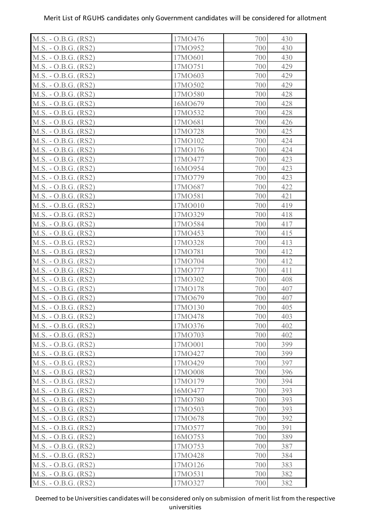| $M.S. - O.B.G. (RS2)$ | 17MO476 | 700 | 430 |
|-----------------------|---------|-----|-----|
| M.S. - O.B.G. (RS2)   | 17MO952 | 700 | 430 |
| $M.S. - O.B.G. (RS2)$ | 17MO601 | 700 | 430 |
| $M.S. - O.B.G. (RS2)$ | 17MO751 | 700 | 429 |
| $M.S. - O.B.G. (RS2)$ | 17MO603 | 700 | 429 |
| $M.S. - O.B.G. (RS2)$ | 17MO502 | 700 | 429 |
| $M.S. - O.B.G. (RS2)$ | 17MO580 | 700 | 428 |
| $M.S. - O.B.G. (RS2)$ | 16MO679 | 700 | 428 |
| M.S. - O.B.G. (RS2)   | 17MO532 | 700 | 428 |
| M.S. - O.B.G. (RS2)   | 17MO681 | 700 | 426 |
| $M.S. - O.B.G. (RS2)$ | 17MO728 | 700 | 425 |
| M.S. - O.B.G. (RS2)   | 17MO102 | 700 | 424 |
| $M.S. - O.B.G. (RS2)$ | 17MO176 | 700 | 424 |
| M.S. - O.B.G. (RS2)   | 17MO477 | 700 | 423 |
| $M.S. - O.B.G. (RS2)$ | 16MO954 | 700 | 423 |
| $M.S. - O.B.G. (RS2)$ | 17MO779 | 700 | 423 |
| $M.S. - O.B.G. (RS2)$ | 17MO687 | 700 | 422 |
| $M.S. - O.B.G. (RS2)$ | 17MO581 | 700 | 421 |
| M.S. - O.B.G. (RS2)   | 17MO010 | 700 | 419 |
| $M.S. - O.B.G. (RS2)$ | 17MO329 | 700 | 418 |
| $M.S. - O.B.G. (RS2)$ | 17MO584 | 700 | 417 |
| M.S. - O.B.G. (RS2)   | 17MO453 | 700 | 415 |
| $M.S. - O.B.G. (RS2)$ | 17MO328 | 700 | 413 |
| $M.S. - O.B.G. (RS2)$ | 17MO781 | 700 | 412 |
| M.S. - O.B.G. (RS2)   | 17MO704 | 700 | 412 |
| M.S. - O.B.G. (RS2)   | 17MO777 | 700 | 411 |
| $M.S. - O.B.G. (RS2)$ | 17MO302 | 700 | 408 |
| $M.S. - O.B.G. (RS2)$ | 17MO178 | 700 | 407 |
| $M.S. - O.B.G. (RS2)$ | 17MO679 | 700 | 407 |
| M.S. - O.B.G. (RS2)   | 17MO130 | 700 | 405 |
| $M.S. - O.B.G. (RS2)$ | 17MO478 | 700 | 403 |
| M.S. - O.B.G. (RS2)   | 17MO376 | 700 | 402 |
| $M.S. - O.B.G. (RS2)$ | 17MO703 | 700 | 402 |
| $M.S. - O.B.G. (RS2)$ | 17MO001 | 700 | 399 |
| $M.S. - O.B.G. (RS2)$ | 17MO427 | 700 | 399 |
| $M.S. - O.B.G. (RS2)$ | 17MO429 | 700 | 397 |
| M.S. - O.B.G. (RS2)   | 17MO008 | 700 | 396 |
| M.S. - O.B.G. (RS2)   | 17MO179 | 700 | 394 |
| $M.S. - O.B.G. (RS2)$ | 16MO477 | 700 | 393 |
| $M.S. - O.B.G. (RS2)$ | 17MO780 | 700 | 393 |
| $M.S. - O.B.G. (RS2)$ | 17MO503 | 700 | 393 |
| M.S. - O.B.G. (RS2)   | 17MO678 | 700 | 392 |
| $M.S. - O.B.G. (RS2)$ | 17MO577 | 700 | 391 |
| $M.S. - O.B.G. (RS2)$ | 16MO753 | 700 | 389 |
| $M.S. - O.B.G. (RS2)$ | 17MO753 | 700 | 387 |
| M.S. - O.B.G. (RS2)   | 17MO428 | 700 | 384 |
| $M.S. - O.B.G. (RS2)$ | 17MO126 | 700 | 383 |
| $M.S. - O.B.G. (RS2)$ | 17MO531 | 700 | 382 |
| M.S. - O.B.G. (RS2)   | 17MO327 | 700 | 382 |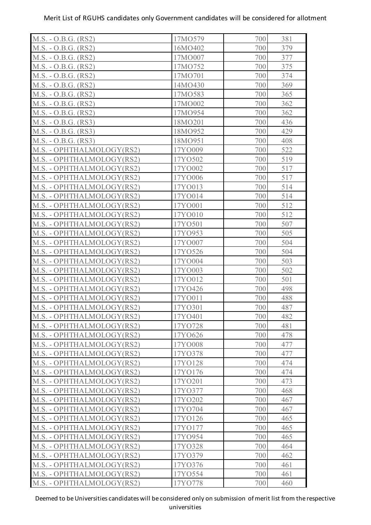| M.S. - O.B.G. (RS2)       | 17MO579 | 381<br>700 |
|---------------------------|---------|------------|
| M.S. - O.B.G. (RS2)       | 16MO402 | 700<br>379 |
| M.S. - O.B.G. (RS2)       | 17MO007 | 700<br>377 |
| M.S. - O.B.G. (RS2)       | 17MO752 | 375<br>700 |
| $M.S. - O.B.G. (RS2)$     | 17MO701 | 374<br>700 |
| M.S. - O.B.G. (RS2)       | 14MO430 | 700<br>369 |
| $M.S. - O.B.G. (RS2)$     | 17MO583 | 365<br>700 |
| M.S. - O.B.G. (RS2)       | 17MO002 | 700<br>362 |
| M.S. - O.B.G. (RS2)       | 17MO954 | 362<br>700 |
| M.S. - O.B.G. (RS3)       | 18MO201 | 700<br>436 |
| M.S. - O.B.G. (RS3)       | 18MO952 | 700<br>429 |
| M.S. - O.B.G. (RS3)       | 18MO951 | 700<br>408 |
| M.S. - OPHTHALMOLOGY(RS2) | 17YO009 | 522<br>700 |
| M.S. - OPHTHALMOLOGY(RS2) | 17YO502 | 700<br>519 |
| M.S. - OPHTHALMOLOGY(RS2) | 17YO002 | 700<br>517 |
| M.S. - OPHTHALMOLOGY(RS2) | 17YO006 | 700<br>517 |
| M.S. - OPHTHALMOLOGY(RS2) | 17YO013 | 700<br>514 |
| M.S. - OPHTHALMOLOGY(RS2) | 17YO014 | 700<br>514 |
| M.S. - OPHTHALMOLOGY(RS2) | 17YO001 | 512<br>700 |
| M.S. - OPHTHALMOLOGY(RS2) | 17YO010 | 700<br>512 |
| M.S. - OPHTHALMOLOGY(RS2) | 17YO501 | 507<br>700 |
| M.S. - OPHTHALMOLOGY(RS2) | 17YO953 | 700<br>505 |
| M.S. - OPHTHALMOLOGY(RS2) | 17YO007 | 504<br>700 |
| M.S. - OPHTHALMOLOGY(RS2) | 17YO526 | 700<br>504 |
| M.S. - OPHTHALMOLOGY(RS2) | 17YO004 | 503<br>700 |
| M.S. - OPHTHALMOLOGY(RS2) | 17YO003 | 700<br>502 |
| M.S. - OPHTHALMOLOGY(RS2) | 17YO012 | 501<br>700 |
| M.S. - OPHTHALMOLOGY(RS2) | 17YO426 | 700<br>498 |
| M.S. - OPHTHALMOLOGY(RS2) | 17YO011 | 700<br>488 |
| M.S. - OPHTHALMOLOGY(RS2) | 17YO301 | 700<br>487 |
| M.S. - OPHTHALMOLOGY(RS2) | 17YO401 | 700<br>482 |
| M.S. - OPHTHALMOLOGY(RS2) | 17YO728 | 700<br>481 |
| M.S. - OPHTHALMOLOGY(RS2) | 17YO626 | 700<br>478 |
| M.S. - OPHTHALMOLOGY(RS2) | 17YO008 | 700<br>477 |
| M.S. - OPHTHALMOLOGY(RS2) | 17YO378 | 700<br>477 |
| M.S. - OPHTHALMOLOGY(RS2) | 17YO128 | 474<br>700 |
| M.S. - OPHTHALMOLOGY(RS2) | 17YO176 | 700<br>474 |
| M.S. - OPHTHALMOLOGY(RS2) | 17YO201 | 473<br>700 |
| M.S. - OPHTHALMOLOGY(RS2) | 17YO377 | 700<br>468 |
| M.S. - OPHTHALMOLOGY(RS2) | 17YO202 | 700<br>467 |
| M.S. - OPHTHALMOLOGY(RS2) | 17YO704 | 700<br>467 |
| M.S. - OPHTHALMOLOGY(RS2) | 17YO126 | 700<br>465 |
| M.S. - OPHTHALMOLOGY(RS2) | 17YO177 | 700<br>465 |
| M.S. - OPHTHALMOLOGY(RS2) | 17YO954 | 465<br>700 |
| M.S. - OPHTHALMOLOGY(RS2) | 17YO328 | 464<br>700 |
| M.S. - OPHTHALMOLOGY(RS2) | 17YO379 | 700<br>462 |
| M.S. - OPHTHALMOLOGY(RS2) | 17YO376 | 700<br>461 |
| M.S. - OPHTHALMOLOGY(RS2) | 17YO554 | 461<br>700 |
| M.S. - OPHTHALMOLOGY(RS2) | 17YO778 | 460<br>700 |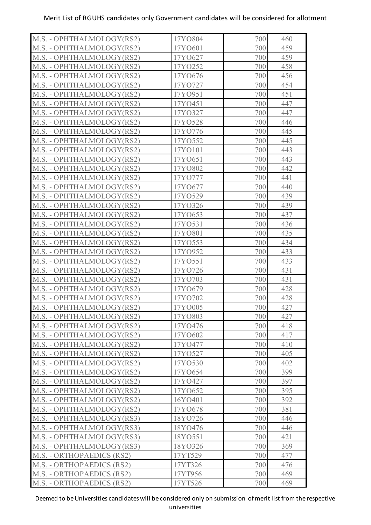| M.S. - OPHTHALMOLOGY(RS2) | 17YO804 | 700<br>460 |
|---------------------------|---------|------------|
| M.S. - OPHTHALMOLOGY(RS2) | 17YO601 | 700<br>459 |
| M.S. - OPHTHALMOLOGY(RS2) | 17YO627 | 700<br>459 |
| M.S. - OPHTHALMOLOGY(RS2) | 17YO252 | 700<br>458 |
| M.S. - OPHTHALMOLOGY(RS2) | 17YO676 | 456<br>700 |
| M.S. - OPHTHALMOLOGY(RS2) | 17YO727 | 700<br>454 |
| M.S. - OPHTHALMOLOGY(RS2) | 17YO951 | 700<br>451 |
| M.S. - OPHTHALMOLOGY(RS2) | 17YO451 | 447<br>700 |
| M.S. - OPHTHALMOLOGY(RS2) | 17YO327 | 700<br>447 |
| M.S. - OPHTHALMOLOGY(RS2) | 17YO528 | 700<br>446 |
| M.S. - OPHTHALMOLOGY(RS2) | 17YO776 | 700<br>445 |
| M.S. - OPHTHALMOLOGY(RS2) | 17YO552 | 700<br>445 |
| M.S. - OPHTHALMOLOGY(RS2) | 17YO101 | 700<br>443 |
| M.S. - OPHTHALMOLOGY(RS2) | 17YO651 | 700<br>443 |
| M.S. - OPHTHALMOLOGY(RS2) | 17YO802 | 700<br>442 |
| M.S. - OPHTHALMOLOGY(RS2) | 17Y0777 | 700<br>441 |
| M.S. - OPHTHALMOLOGY(RS2) | 17YO677 | 700<br>440 |
| M.S. - OPHTHALMOLOGY(RS2) | 17YO529 | 700<br>439 |
| M.S. - OPHTHALMOLOGY(RS2) | 17YO326 | 700<br>439 |
| M.S. - OPHTHALMOLOGY(RS2) | 17YO653 | 700<br>437 |
| M.S. - OPHTHALMOLOGY(RS2) | 17YO531 | 700<br>436 |
| M.S. - OPHTHALMOLOGY(RS2) | 17YO801 | 700<br>435 |
| M.S. - OPHTHALMOLOGY(RS2) | 17YO553 | 700<br>434 |
| M.S. - OPHTHALMOLOGY(RS2) | 17YO952 | 700<br>433 |
| M.S. - OPHTHALMOLOGY(RS2) | 17YO551 | 433<br>700 |
| M.S. - OPHTHALMOLOGY(RS2) | 17YO726 | 431<br>700 |
| M.S. - OPHTHALMOLOGY(RS2) | 17YO703 | 700<br>431 |
| M.S. - OPHTHALMOLOGY(RS2) | 17YO679 | 700<br>428 |
| M.S. - OPHTHALMOLOGY(RS2) | 17YO702 | 700<br>428 |
| M.S. - OPHTHALMOLOGY(RS2) | 17YO005 | 700<br>427 |
| M.S. - OPHTHALMOLOGY(RS2) | 17YO803 | 700<br>427 |
| M.S. - OPHTHALMOLOGY(RS2) | 17YO476 | 700<br>418 |
| M.S. - OPHTHALMOLOGY(RS2) | 17YO602 | 417<br>700 |
| M.S. - OPHTHALMOLOGY(RS2) | 17YO477 | 410<br>700 |
| M.S. - OPHTHALMOLOGY(RS2) | 17YO527 | 700<br>405 |
| M.S. - OPHTHALMOLOGY(RS2) | 17YO530 | 402<br>700 |
| M.S. - OPHTHALMOLOGY(RS2) | 17YO654 | 700<br>399 |
| M.S. - OPHTHALMOLOGY(RS2) | 17YO427 | 397<br>700 |
| M.S. - OPHTHALMOLOGY(RS2) | 17YO652 | 700<br>395 |
| M.S. - OPHTHALMOLOGY(RS2) | 16YO401 | 392<br>700 |
| M.S. - OPHTHALMOLOGY(RS2) | 17YO678 | 700<br>381 |
| M.S. - OPHTHALMOLOGY(RS3) | 18YO726 | 446<br>700 |
| M.S. - OPHTHALMOLOGY(RS3) | 18YO476 | 700<br>446 |
| M.S. - OPHTHALMOLOGY(RS3) | 18YO551 | 421<br>700 |
| M.S. - OPHTHALMOLOGY(RS3) | 18YO326 | 700<br>369 |
| M.S. - ORTHOPAEDICS (RS2) | 17YT529 | 700<br>477 |
| M.S. - ORTHOPAEDICS (RS2) | 17YT326 | 700<br>476 |
| M.S. - ORTHOPAEDICS (RS2) | 17YT956 | 700<br>469 |
| M.S. - ORTHOPAEDICS (RS2) | 17YT526 | 700<br>469 |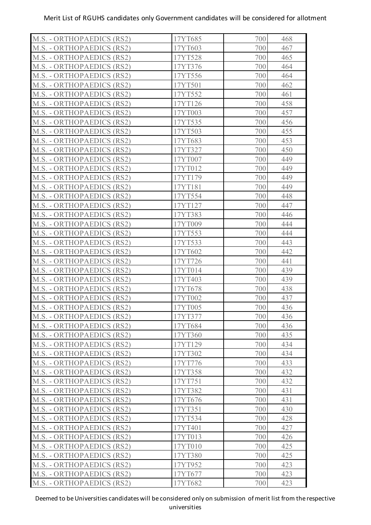| M.S. - ORTHOPAEDICS (RS2) | 17YT685 | 700 | 468 |
|---------------------------|---------|-----|-----|
| M.S. - ORTHOPAEDICS (RS2) | 17YT603 | 700 | 467 |
| M.S. - ORTHOPAEDICS (RS2) | 17YT528 | 700 | 465 |
| M.S. - ORTHOPAEDICS (RS2) | 17YT376 | 700 | 464 |
| M.S. - ORTHOPAEDICS (RS2) | 17YT556 | 700 | 464 |
| M.S. - ORTHOPAEDICS (RS2) | 17YT501 | 700 | 462 |
| M.S. - ORTHOPAEDICS (RS2) | 17YT552 | 700 | 461 |
| M.S. - ORTHOPAEDICS (RS2) | 17YT126 | 700 | 458 |
| M.S. - ORTHOPAEDICS (RS2) | 17YT003 | 700 | 457 |
| M.S. - ORTHOPAEDICS (RS2) | 17YT535 | 700 | 456 |
| M.S. - ORTHOPAEDICS (RS2) | 17YT503 | 700 | 455 |
| M.S. - ORTHOPAEDICS (RS2) | 17YT683 | 700 | 453 |
| M.S. - ORTHOPAEDICS (RS2) | 17YT327 | 700 | 450 |
| M.S. - ORTHOPAEDICS (RS2) | 17YT007 | 700 | 449 |
| M.S. - ORTHOPAEDICS (RS2) | 17YT012 | 700 | 449 |
| M.S. - ORTHOPAEDICS (RS2) | 17YT179 | 700 | 449 |
| M.S. - ORTHOPAEDICS (RS2) | 17YT181 | 700 | 449 |
| M.S. - ORTHOPAEDICS (RS2) | 17YT554 | 700 | 448 |
| M.S. - ORTHOPAEDICS (RS2) | 17YT127 | 700 | 447 |
| M.S. - ORTHOPAEDICS (RS2) | 17YT383 | 700 | 446 |
| M.S. - ORTHOPAEDICS (RS2) | 17YT009 | 700 | 444 |
| M.S. - ORTHOPAEDICS (RS2) | 17YT553 | 700 | 444 |
| M.S. - ORTHOPAEDICS (RS2) | 17YT533 | 700 | 443 |
| M.S. - ORTHOPAEDICS (RS2) | 17YT602 | 700 | 442 |
| M.S. - ORTHOPAEDICS (RS2) | 17YT726 | 700 | 441 |
| M.S. - ORTHOPAEDICS (RS2) | 17YT014 | 700 | 439 |
| M.S. - ORTHOPAEDICS (RS2) | 17YT403 | 700 | 439 |
| M.S. - ORTHOPAEDICS (RS2) | 17YT678 | 700 | 438 |
| M.S. - ORTHOPAEDICS (RS2) | 17YT002 | 700 | 437 |
| M.S. - ORTHOPAEDICS (RS2) | 17YT005 | 700 | 436 |
| M.S. - ORTHOPAEDICS (RS2) | 17YT377 | 700 | 436 |
| M.S. - ORTHOPAEDICS (RS2) | 17YT684 | 700 | 436 |
| M.S. - ORTHOPAEDICS (RS2) | 17YT360 | 700 | 435 |
| M.S. - ORTHOPAEDICS (RS2) | 17YT129 | 700 | 434 |
| M.S. - ORTHOPAEDICS (RS2) | 17YT302 | 700 | 434 |
| M.S. - ORTHOPAEDICS (RS2) | 17YT776 | 700 | 433 |
| M.S. - ORTHOPAEDICS (RS2) | 17YT358 | 700 | 432 |
| M.S. - ORTHOPAEDICS (RS2) | 17YT751 | 700 | 432 |
| M.S. - ORTHOPAEDICS (RS2) | 17YT382 | 700 | 431 |
| M.S. - ORTHOPAEDICS (RS2) | 17YT676 | 700 | 431 |
| M.S. - ORTHOPAEDICS (RS2) | 17YT351 | 700 | 430 |
| M.S. - ORTHOPAEDICS (RS2) | 17YT534 | 700 | 428 |
| M.S. - ORTHOPAEDICS (RS2) | 17YT401 | 700 | 427 |
| M.S. - ORTHOPAEDICS (RS2) | 17YT013 | 700 | 426 |
| M.S. - ORTHOPAEDICS (RS2) | 17YT010 | 700 | 425 |
| M.S. - ORTHOPAEDICS (RS2) | 17YT380 | 700 | 425 |
| M.S. - ORTHOPAEDICS (RS2) | 17YT952 | 700 | 423 |
| M.S. - ORTHOPAEDICS (RS2) | 17YT677 | 700 | 423 |
| M.S. - ORTHOPAEDICS (RS2) | 17YT682 | 700 | 423 |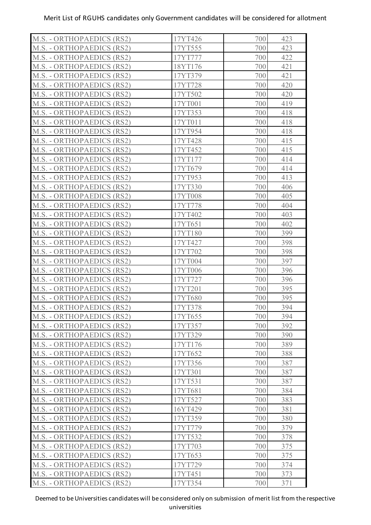| M.S. - ORTHOPAEDICS (RS2) | 17YT426 | 700 | 423 |
|---------------------------|---------|-----|-----|
| M.S. - ORTHOPAEDICS (RS2) | 17YT555 | 700 | 423 |
| M.S. - ORTHOPAEDICS (RS2) | 17YT777 | 700 | 422 |
| M.S. - ORTHOPAEDICS (RS2) | 18YT176 | 700 | 421 |
| M.S. - ORTHOPAEDICS (RS2) | 17YT379 | 700 | 421 |
| M.S. - ORTHOPAEDICS (RS2) | 17YT728 | 700 | 420 |
| M.S. - ORTHOPAEDICS (RS2) | 17YT502 | 700 | 420 |
| M.S. - ORTHOPAEDICS (RS2) | 17YT001 | 700 | 419 |
| M.S. - ORTHOPAEDICS (RS2) | 17YT353 | 700 | 418 |
| M.S. - ORTHOPAEDICS (RS2) | 17YT011 | 700 | 418 |
| M.S. - ORTHOPAEDICS (RS2) | 17YT954 | 700 | 418 |
| M.S. - ORTHOPAEDICS (RS2) | 17YT428 | 700 | 415 |
| M.S. - ORTHOPAEDICS (RS2) | 17YT452 | 700 | 415 |
| M.S. - ORTHOPAEDICS (RS2) | 17YT177 | 700 | 414 |
| M.S. - ORTHOPAEDICS (RS2) | 17YT679 | 700 | 414 |
| M.S. - ORTHOPAEDICS (RS2) | 17YT953 | 700 | 413 |
| M.S. - ORTHOPAEDICS (RS2) | 17YT330 | 700 | 406 |
| M.S. - ORTHOPAEDICS (RS2) | 17YT008 | 700 | 405 |
| M.S. - ORTHOPAEDICS (RS2) | 17YT778 | 700 | 404 |
| M.S. - ORTHOPAEDICS (RS2) | 17YT402 | 700 | 403 |
| M.S. - ORTHOPAEDICS (RS2) | 17YT651 | 700 | 402 |
| M.S. - ORTHOPAEDICS (RS2) | 17YT180 | 700 | 399 |
| M.S. - ORTHOPAEDICS (RS2) | 17YT427 | 700 | 398 |
| M.S. - ORTHOPAEDICS (RS2) | 17YT702 | 700 | 398 |
| M.S. - ORTHOPAEDICS (RS2) | 17YT004 | 700 | 397 |
| M.S. - ORTHOPAEDICS (RS2) | 17YT006 | 700 | 396 |
| M.S. - ORTHOPAEDICS (RS2) | 17YT727 | 700 | 396 |
| M.S. - ORTHOPAEDICS (RS2) | 17YT201 | 700 | 395 |
| M.S. - ORTHOPAEDICS (RS2) | 17YT680 | 700 | 395 |
| M.S. - ORTHOPAEDICS (RS2) | 17YT378 | 700 | 394 |
| M.S. - ORTHOPAEDICS (RS2) | 17YT655 | 700 | 394 |
| M.S. - ORTHOPAEDICS (RS2) | 17YT357 | 700 | 392 |
| M.S. - ORTHOPAEDICS (RS2) | 17YT329 | 700 | 390 |
| M.S. - ORTHOPAEDICS (RS2) | 17YT176 | 700 | 389 |
| M.S. - ORTHOPAEDICS (RS2) | 17YT652 | 700 | 388 |
| M.S. - ORTHOPAEDICS (RS2) | 17YT356 | 700 | 387 |
| M.S. - ORTHOPAEDICS (RS2) | 17YT301 | 700 | 387 |
| M.S. - ORTHOPAEDICS (RS2) | 17YT531 | 700 | 387 |
| M.S. - ORTHOPAEDICS (RS2) | 17YT681 | 700 | 384 |
| M.S. - ORTHOPAEDICS (RS2) | 17YT527 | 700 | 383 |
| M.S. - ORTHOPAEDICS (RS2) | 16YT429 | 700 | 381 |
| M.S. - ORTHOPAEDICS (RS2) | 17YT359 | 700 | 380 |
| M.S. - ORTHOPAEDICS (RS2) | 17YT779 | 700 | 379 |
| M.S. - ORTHOPAEDICS (RS2) | 17YT532 | 700 | 378 |
| M.S. - ORTHOPAEDICS (RS2) | 17YT703 | 700 | 375 |
| M.S. - ORTHOPAEDICS (RS2) | 17YT653 | 700 | 375 |
| M.S. - ORTHOPAEDICS (RS2) | 17YT729 | 700 | 374 |
| M.S. - ORTHOPAEDICS (RS2) | 17YT451 | 700 | 373 |
| M.S. - ORTHOPAEDICS (RS2) | 17YT354 | 700 | 371 |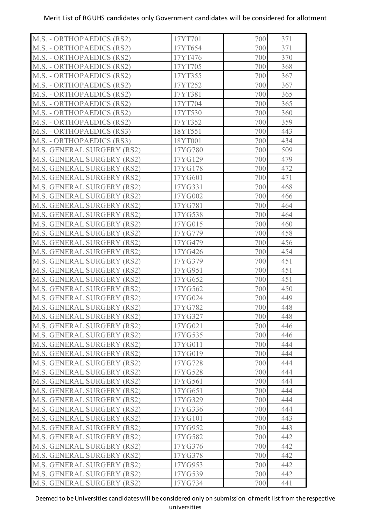| M.S. - ORTHOPAEDICS (RS2)  | 17YT701 | 700 | 371 |
|----------------------------|---------|-----|-----|
| M.S. - ORTHOPAEDICS (RS2)  | 17YT654 | 700 | 371 |
| M.S. - ORTHOPAEDICS (RS2)  | 17YT476 | 700 | 370 |
| M.S. - ORTHOPAEDICS (RS2)  | 17YT705 | 700 | 368 |
| M.S. - ORTHOPAEDICS (RS2)  | 17YT355 | 700 | 367 |
| M.S. - ORTHOPAEDICS (RS2)  | 17YT252 | 700 | 367 |
| M.S. - ORTHOPAEDICS (RS2)  | 17YT381 | 700 | 365 |
| M.S. - ORTHOPAEDICS (RS2)  | 17YT704 | 700 | 365 |
| M.S. - ORTHOPAEDICS (RS2)  | 17YT530 | 700 | 360 |
| M.S. - ORTHOPAEDICS (RS2)  | 17YT352 | 700 | 359 |
| M.S. - ORTHOPAEDICS (RS3)  | 18YT551 | 700 | 443 |
| M.S. - ORTHOPAEDICS (RS3)  | 18YT001 | 700 | 434 |
| M.S. GENERAL SURGERY (RS2) | 17YG780 | 700 | 509 |
| M.S. GENERAL SURGERY (RS2) | 17YG129 | 700 | 479 |
| M.S. GENERAL SURGERY (RS2) | 17YG178 | 700 | 472 |
| M.S. GENERAL SURGERY (RS2) | 17YG601 | 700 | 471 |
| M.S. GENERAL SURGERY (RS2) | 17YG331 | 700 | 468 |
| M.S. GENERAL SURGERY (RS2) | 17YG002 | 700 | 466 |
| M.S. GENERAL SURGERY (RS2) | 17YG781 | 700 | 464 |
| M.S. GENERAL SURGERY (RS2) | 17YG538 | 700 | 464 |
| M.S. GENERAL SURGERY (RS2) | 17YG015 | 700 | 460 |
| M.S. GENERAL SURGERY (RS2) | 17YG779 | 700 | 458 |
| M.S. GENERAL SURGERY (RS2) | 17YG479 | 700 | 456 |
| M.S. GENERAL SURGERY (RS2) | 17YG426 | 700 | 454 |
| M.S. GENERAL SURGERY (RS2) | 17YG379 | 700 | 451 |
| M.S. GENERAL SURGERY (RS2) | 17YG951 | 700 | 451 |
| M.S. GENERAL SURGERY (RS2) | 17YG652 | 700 | 451 |
| M.S. GENERAL SURGERY (RS2) | 17YG562 | 700 | 450 |
| M.S. GENERAL SURGERY (RS2) | 17YG024 | 700 | 449 |
| M.S. GENERAL SURGERY (RS2) | 17YG782 | 700 | 448 |
| M.S. GENERAL SURGERY (RS2) | 17YG327 | 700 | 448 |
| M.S. GENERAL SURGERY (RS2) | 17YG021 | 700 | 446 |
| M.S. GENERAL SURGERY (RS2) | 17YG535 | 700 | 446 |
| M.S. GENERAL SURGERY (RS2) | 17YG011 | 700 | 444 |
| M.S. GENERAL SURGERY (RS2) | 17YG019 | 700 | 444 |
| M.S. GENERAL SURGERY (RS2) | 17YG728 | 700 | 444 |
| M.S. GENERAL SURGERY (RS2) | 17YG528 | 700 | 444 |
| M.S. GENERAL SURGERY (RS2) | 17YG561 | 700 | 444 |
| M.S. GENERAL SURGERY (RS2) | 17YG651 | 700 | 444 |
| M.S. GENERAL SURGERY (RS2) | 17YG329 | 700 | 444 |
| M.S. GENERAL SURGERY (RS2) | 17YG336 | 700 | 444 |
| M.S. GENERAL SURGERY (RS2) | 17YG101 | 700 | 443 |
| M.S. GENERAL SURGERY (RS2) | 17YG952 | 700 | 443 |
| M.S. GENERAL SURGERY (RS2) | 17YG582 | 700 | 442 |
| M.S. GENERAL SURGERY (RS2) | 17YG376 | 700 | 442 |
| M.S. GENERAL SURGERY (RS2) | 17YG378 | 700 | 442 |
| M.S. GENERAL SURGERY (RS2) | 17YG953 | 700 | 442 |
| M.S. GENERAL SURGERY (RS2) | 17YG539 | 700 | 442 |
| M.S. GENERAL SURGERY (RS2) | 17YG734 | 700 | 441 |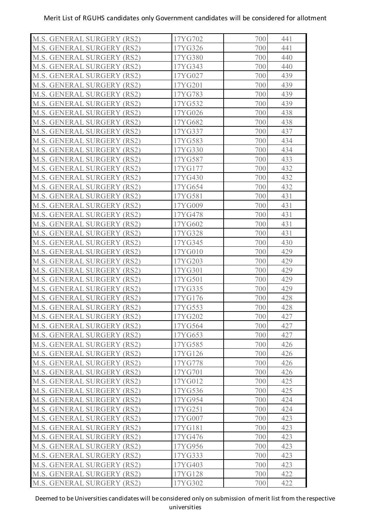| M.S. GENERAL SURGERY (RS2) | 17YG702 | 700 | 441 |
|----------------------------|---------|-----|-----|
| M.S. GENERAL SURGERY (RS2) | 17YG326 | 700 | 441 |
| M.S. GENERAL SURGERY (RS2) | 17YG380 | 700 | 440 |
| M.S. GENERAL SURGERY (RS2) | 17YG343 | 700 | 440 |
| M.S. GENERAL SURGERY (RS2) | 17YG027 | 700 | 439 |
| M.S. GENERAL SURGERY (RS2) | 17YG201 | 700 | 439 |
| M.S. GENERAL SURGERY (RS2) | 17YG783 | 700 | 439 |
| M.S. GENERAL SURGERY (RS2) | 17YG532 | 700 | 439 |
| M.S. GENERAL SURGERY (RS2) | 17YG026 | 700 | 438 |
| M.S. GENERAL SURGERY (RS2) | 17YG682 | 700 | 438 |
| M.S. GENERAL SURGERY (RS2) | 17YG337 | 700 | 437 |
| M.S. GENERAL SURGERY (RS2) | 17YG583 | 700 | 434 |
| M.S. GENERAL SURGERY (RS2) | 17YG330 | 700 | 434 |
| M.S. GENERAL SURGERY (RS2) | 17YG587 | 700 | 433 |
| M.S. GENERAL SURGERY (RS2) | 17YG177 | 700 | 432 |
| M.S. GENERAL SURGERY (RS2) | 17YG430 | 700 | 432 |
| M.S. GENERAL SURGERY (RS2) | 17YG654 | 700 | 432 |
| M.S. GENERAL SURGERY (RS2) | 17YG581 | 700 | 431 |
| M.S. GENERAL SURGERY (RS2) | 17YG009 | 700 | 431 |
| M.S. GENERAL SURGERY (RS2) | 17YG478 | 700 | 431 |
| M.S. GENERAL SURGERY (RS2) | 17YG602 | 700 | 431 |
| M.S. GENERAL SURGERY (RS2) | 17YG328 | 700 | 431 |
| M.S. GENERAL SURGERY (RS2) | 17YG345 | 700 | 430 |
| M.S. GENERAL SURGERY (RS2) | 17YG010 | 700 | 429 |
| M.S. GENERAL SURGERY (RS2) | 17YG203 | 700 | 429 |
| M.S. GENERAL SURGERY (RS2) | 17YG301 | 700 | 429 |
| M.S. GENERAL SURGERY (RS2) | 17YG501 | 700 | 429 |
| M.S. GENERAL SURGERY (RS2) | 17YG335 | 700 | 429 |
| M.S. GENERAL SURGERY (RS2) | 17YG176 | 700 | 428 |
| M.S. GENERAL SURGERY (RS2) | 17YG553 | 700 | 428 |
| M.S. GENERAL SURGERY (RS2) | 17YG202 | 700 | 427 |
| M.S. GENERAL SURGERY (RS2) | 17YG564 | 700 | 427 |
| M.S. GENERAL SURGERY (RS2) | 17YG653 | 700 | 427 |
| M.S. GENERAL SURGERY (RS2) | 17YG585 | 700 | 426 |
| M.S. GENERAL SURGERY (RS2) | 17YG126 | 700 | 426 |
| M.S. GENERAL SURGERY (RS2) | 17YG778 | 700 | 426 |
| M.S. GENERAL SURGERY (RS2) | 17YG701 | 700 | 426 |
| M.S. GENERAL SURGERY (RS2) | 17YG012 | 700 | 425 |
| M.S. GENERAL SURGERY (RS2) | 17YG536 | 700 | 425 |
| M.S. GENERAL SURGERY (RS2) | 17YG954 | 700 | 424 |
| M.S. GENERAL SURGERY (RS2) | 17YG251 | 700 | 424 |
| M.S. GENERAL SURGERY (RS2) | 17YG007 | 700 | 423 |
| M.S. GENERAL SURGERY (RS2) | 17YG181 | 700 | 423 |
| M.S. GENERAL SURGERY (RS2) | 17YG476 | 700 | 423 |
| M.S. GENERAL SURGERY (RS2) | 17YG956 | 700 | 423 |
| M.S. GENERAL SURGERY (RS2) | 17YG333 | 700 | 423 |
| M.S. GENERAL SURGERY (RS2) | 17YG403 | 700 | 423 |
| M.S. GENERAL SURGERY (RS2) | 17YG128 | 700 | 422 |
| M.S. GENERAL SURGERY (RS2) | 17YG302 | 700 | 422 |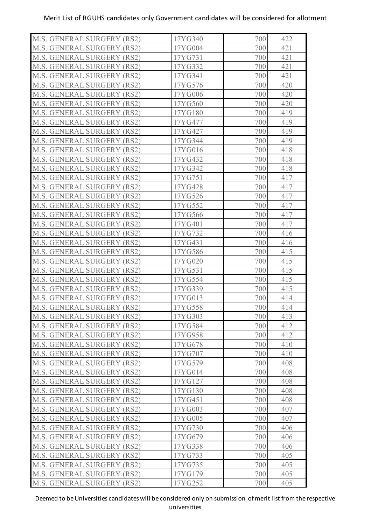| M.S. GENERAL SURGERY (RS2)        | 17YG340 | 700 | 422 |
|-----------------------------------|---------|-----|-----|
| M.S. GENERAL SURGERY (RS2)        | 17YG004 | 700 | 421 |
| M.S. GENERAL SURGERY (RS2)        | 17YG731 | 700 | 421 |
| M.S. GENERAL SURGERY (RS2)        | 17YG332 | 700 | 421 |
| <b>M.S. GENERAL SURGERY (RS2)</b> | 17YG341 | 700 | 421 |
| M.S. GENERAL SURGERY (RS2)        | 17YG576 | 700 | 420 |
| <b>M.S. GENERAL SURGERY (RS2)</b> | 17YG006 | 700 | 420 |
| M.S. GENERAL SURGERY (RS2)        | 17YG560 | 700 | 420 |
| <b>M.S. GENERAL SURGERY (RS2)</b> | 17YG180 | 700 | 419 |
| M.S. GENERAL SURGERY (RS2)        | 17YG477 | 700 | 419 |
| <b>M.S. GENERAL SURGERY (RS2)</b> | 17YG427 | 700 | 419 |
| M.S. GENERAL SURGERY (RS2)        | 17YG344 | 700 | 419 |
| <b>M.S. GENERAL SURGERY (RS2)</b> | 17YG016 | 700 | 418 |
| M.S. GENERAL SURGERY (RS2)        | 17YG432 | 700 | 418 |
| M.S. GENERAL SURGERY (RS2)        | 17YG342 | 700 | 418 |
| <b>M.S. GENERAL SURGERY (RS2)</b> | 17YG751 | 700 | 417 |
| <b>M.S. GENERAL SURGERY (RS2)</b> | 17YG428 | 700 | 417 |
| <b>M.S. GENERAL SURGERY (RS2)</b> | 17YG526 | 700 | 417 |
| M.S. GENERAL SURGERY (RS2)        | 17YG552 | 700 | 417 |
| M.S. GENERAL SURGERY (RS2)        | 17YG566 | 700 | 417 |
| M.S. GENERAL SURGERY (RS2)        | 17YG401 | 700 | 417 |
| M.S. GENERAL SURGERY (RS2)        | 17YG732 | 700 | 416 |
| M.S. GENERAL SURGERY (RS2)        | 17YG431 | 700 | 416 |
| M.S. GENERAL SURGERY (RS2)        | 17YG586 | 700 | 415 |
| M.S. GENERAL SURGERY (RS2)        | 17YG020 | 700 | 415 |
| <b>M.S. GENERAL SURGERY (RS2)</b> | 17YG531 | 700 | 415 |
| M.S. GENERAL SURGERY (RS2)        | 17YG554 | 700 | 415 |
| <b>M.S. GENERAL SURGERY (RS2)</b> | 17YG339 | 700 | 415 |
| M.S. GENERAL SURGERY (RS2)        | 17YG013 | 700 | 414 |
| M.S. GENERAL SURGERY (RS2)        | 17YG558 | 700 | 414 |
| M.S. GENERAL SURGERY (RS2)        | 17YG303 | 700 | 413 |
| M.S. GENERAL SURGERY (RS2)        | 17YG584 | 700 | 412 |
| M.S. GENERAL SURGERY (RS2)        | 17YG958 | 700 | 412 |
| M.S. GENERAL SURGERY (RS2)        | 17YG678 | 700 | 410 |
| M.S. GENERAL SURGERY (RS2)        | 17YG707 | 700 | 410 |
| M.S. GENERAL SURGERY (RS2)        | 17YG579 | 700 | 408 |
| M.S. GENERAL SURGERY (RS2)        | 17YG014 | 700 | 408 |
| M.S. GENERAL SURGERY (RS2)        | 17YG127 | 700 | 408 |
| <b>M.S. GENERAL SURGERY (RS2)</b> | 17YG130 | 700 | 408 |
| <b>M.S. GENERAL SURGERY (RS2)</b> | 17YG451 | 700 | 408 |
| <b>M.S. GENERAL SURGERY (RS2)</b> | 17YG003 | 700 | 407 |
| M.S. GENERAL SURGERY (RS2)        | 17YG005 | 700 | 407 |
| M.S. GENERAL SURGERY (RS2)        | 17YG730 | 700 | 406 |
| M.S. GENERAL SURGERY (RS2)        | 17YG679 | 700 | 406 |
| M.S. GENERAL SURGERY (RS2)        | 17YG338 | 700 | 406 |
| M.S. GENERAL SURGERY (RS2)        | 17YG733 | 700 | 405 |
| M.S. GENERAL SURGERY (RS2)        | 17YG735 | 700 | 405 |
| M.S. GENERAL SURGERY (RS2)        | 17YG179 | 700 | 405 |
| M.S. GENERAL SURGERY (RS2)        | 17YG252 | 700 | 405 |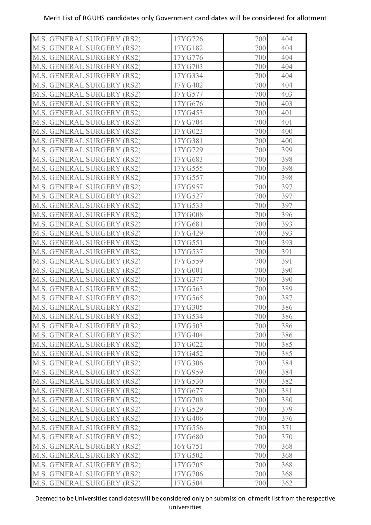| M.S. GENERAL SURGERY (RS2)        | 17YG726 | 700 | 404 |
|-----------------------------------|---------|-----|-----|
| M.S. GENERAL SURGERY (RS2)        | 17YG182 | 700 | 404 |
| M.S. GENERAL SURGERY (RS2)        | 17YG776 | 700 | 404 |
| M.S. GENERAL SURGERY (RS2)        | 17YG703 | 700 | 404 |
| M.S. GENERAL SURGERY (RS2)        | 17YG334 | 700 | 404 |
| M.S. GENERAL SURGERY (RS2)        | 17YG402 | 700 | 404 |
| M.S. GENERAL SURGERY (RS2)        | 17YG577 | 700 | 403 |
| M.S. GENERAL SURGERY (RS2)        | 17YG676 | 700 | 403 |
| M.S. GENERAL SURGERY (RS2)        | 17YG453 | 700 | 401 |
| M.S. GENERAL SURGERY (RS2)        | 17YG704 | 700 | 401 |
| M.S. GENERAL SURGERY (RS2)        | 17YG023 | 700 | 400 |
| M.S. GENERAL SURGERY (RS2)        | 17YG381 | 700 | 400 |
| M.S. GENERAL SURGERY (RS2)        | 17YG729 | 700 | 399 |
| M.S. GENERAL SURGERY (RS2)        | 17YG683 | 700 | 398 |
| M.S. GENERAL SURGERY (RS2)        | 17YG555 | 700 | 398 |
| M.S. GENERAL SURGERY (RS2)        | 17YG557 | 700 | 398 |
| M.S. GENERAL SURGERY (RS2)        | 17YG957 | 700 | 397 |
| M.S. GENERAL SURGERY (RS2)        | 17YG527 | 700 | 397 |
| M.S. GENERAL SURGERY (RS2)        | 17YG533 | 700 | 397 |
| M.S. GENERAL SURGERY (RS2)        | 17YG008 | 700 | 396 |
| M.S. GENERAL SURGERY (RS2)        | 17YG681 | 700 | 393 |
| M.S. GENERAL SURGERY (RS2)        | 17YG429 | 700 | 393 |
| M.S. GENERAL SURGERY (RS2)        | 17YG551 | 700 | 393 |
| M.S. GENERAL SURGERY (RS2)        | 17YG537 | 700 | 391 |
| M.S. GENERAL SURGERY (RS2)        | 17YG559 | 700 | 391 |
| M.S. GENERAL SURGERY (RS2)        | 17YG001 | 700 | 390 |
| M.S. GENERAL SURGERY (RS2)        | 17YG377 | 700 | 390 |
| M.S. GENERAL SURGERY (RS2)        | 17YG563 | 700 | 389 |
| <b>M.S. GENERAL SURGERY (RS2)</b> | 17YG565 | 700 | 387 |
| M.S. GENERAL SURGERY (RS2)        | 17YG305 | 700 | 386 |
| M.S. GENERAL SURGERY (RS2)        | 17YG534 | 700 | 386 |
| M.S. GENERAL SURGERY (RS2)        | 17YG503 | 700 | 386 |
| M.S. GENERAL SURGERY (RS2)        | 17YG404 | 700 | 386 |
| M.S. GENERAL SURGERY (RS2)        | 17YG022 | 700 | 385 |
| <b>M.S. GENERAL SURGERY (RS2)</b> | 17YG452 | 700 | 385 |
| <b>M.S. GENERAL SURGERY (RS2)</b> | 17YG306 | 700 | 384 |
| M.S. GENERAL SURGERY (RS2)        | 17YG959 | 700 | 384 |
| M.S. GENERAL SURGERY (RS2)        | 17YG530 | 700 | 382 |
| M.S. GENERAL SURGERY (RS2)        | 17YG677 | 700 | 381 |
| M.S. GENERAL SURGERY (RS2)        | 17YG708 | 700 | 380 |
| M.S. GENERAL SURGERY (RS2)        | 17YG529 | 700 | 379 |
| M.S. GENERAL SURGERY (RS2)        | 17YG406 | 700 | 376 |
| M.S. GENERAL SURGERY (RS2)        | 17YG556 | 700 | 371 |
| M.S. GENERAL SURGERY (RS2)        | 17YG680 | 700 | 370 |
| M.S. GENERAL SURGERY (RS2)        | 16YG751 | 700 | 368 |
| M.S. GENERAL SURGERY (RS2)        | 17YG502 | 700 | 368 |
| M.S. GENERAL SURGERY (RS2)        | 17YG705 | 700 | 368 |
| <b>M.S. GENERAL SURGERY (RS2)</b> | 17YG706 | 700 | 368 |
| <b>M.S. GENERAL SURGERY (RS2)</b> | 17YG504 | 700 | 362 |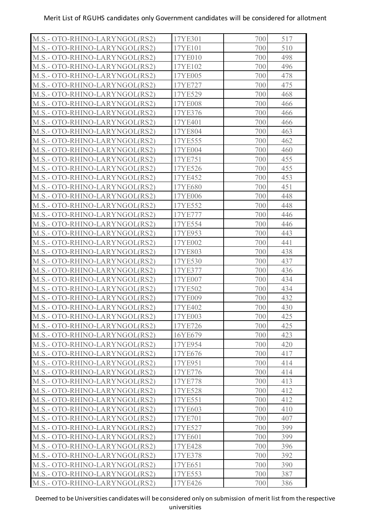| M.S.- OTO-RHINO-LARYNGOL(RS2) | 17YE301 | 700        | 517 |
|-------------------------------|---------|------------|-----|
| M.S.- OTO-RHINO-LARYNGOL(RS2) | 17YE101 | 700        | 510 |
| M.S.- OTO-RHINO-LARYNGOL(RS2) | 17YE010 | 700        | 498 |
| M.S.- OTO-RHINO-LARYNGOL(RS2) | 17YE102 | 700        | 496 |
| M.S.- OTO-RHINO-LARYNGOL(RS2) | 17YE005 | 700        | 478 |
| M.S.- OTO-RHINO-LARYNGOL(RS2) | 17YE727 | 700        | 475 |
| M.S.- OTO-RHINO-LARYNGOL(RS2) | 17YE529 | 700        | 468 |
| M.S.- OTO-RHINO-LARYNGOL(RS2) | 17YE008 | 700        | 466 |
| M.S.- OTO-RHINO-LARYNGOL(RS2) | 17YE376 | 700        | 466 |
| M.S.- OTO-RHINO-LARYNGOL(RS2) | 17YE401 | 700        | 466 |
| M.S.- OTO-RHINO-LARYNGOL(RS2) | 17YE804 | 700        | 463 |
| M.S.- OTO-RHINO-LARYNGOL(RS2) | 17YE555 | 700        | 462 |
| M.S.- OTO-RHINO-LARYNGOL(RS2) | 17YE004 | 700        | 460 |
| M.S.- OTO-RHINO-LARYNGOL(RS2) | 17YE751 | 700        | 455 |
| M.S.- OTO-RHINO-LARYNGOL(RS2) | 17YE526 | 700        | 455 |
| M.S.- OTO-RHINO-LARYNGOL(RS2) | 17YE452 | 700        | 453 |
| M.S.- OTO-RHINO-LARYNGOL(RS2) | 17YE680 | 700        | 451 |
| M.S.- OTO-RHINO-LARYNGOL(RS2) | 17YE006 | 700        | 448 |
| M.S.- OTO-RHINO-LARYNGOL(RS2) | 17YE552 | 700        | 448 |
| M.S.- OTO-RHINO-LARYNGOL(RS2) | 17YE777 | 700        | 446 |
| M.S.- OTO-RHINO-LARYNGOL(RS2) | 17YE554 | 700        | 446 |
| M.S.- OTO-RHINO-LARYNGOL(RS2) | 17YE953 | 700        | 443 |
| M.S.- OTO-RHINO-LARYNGOL(RS2) | 17YE002 | 700        | 441 |
| M.S.- OTO-RHINO-LARYNGOL(RS2) | 17YE803 | 700        | 438 |
| M.S.- OTO-RHINO-LARYNGOL(RS2) | 17YE530 | 700        | 437 |
| M.S.- OTO-RHINO-LARYNGOL(RS2) | 17YE377 | 700        | 436 |
| M.S.- OTO-RHINO-LARYNGOL(RS2) | 17YE007 | 700        | 434 |
| M.S.- OTO-RHINO-LARYNGOL(RS2) | 17YE502 | 700        | 434 |
| M.S.- OTO-RHINO-LARYNGOL(RS2) | 17YE009 | 700        | 432 |
| M.S.- OTO-RHINO-LARYNGOL(RS2) | 17YE402 | 700        | 430 |
| M.S.- OTO-RHINO-LARYNGOL(RS2) | 17YE003 | 700        | 425 |
| M.S.- OTO-RHINO-LARYNGOL(RS2) | 17YE726 | 700        | 425 |
| M.S.- OTO-RHINO-LARYNGOL(RS2) | 16YE679 | 700        | 423 |
| M.S.- OTO-RHINO-LARYNGOL(RS2) | 17YE954 | 700        | 420 |
| M.S.- OTO-RHINO-LARYNGOL(RS2) | 17YE676 | 700        | 417 |
| M.S.- OTO-RHINO-LARYNGOL(RS2) | 17YE951 | 700        | 414 |
| M.S.- OTO-RHINO-LARYNGOL(RS2) | 17YE776 | 700        | 414 |
| M.S.- OTO-RHINO-LARYNGOL(RS2) | 17YE778 | 700        | 413 |
| M.S.- OTO-RHINO-LARYNGOL(RS2) | 17YE528 | 700        | 412 |
| M.S.- OTO-RHINO-LARYNGOL(RS2) | 17YE551 | 700        | 412 |
| M.S.- OTO-RHINO-LARYNGOL(RS2) | 17YE603 | 700        | 410 |
| M.S.- OTO-RHINO-LARYNGOL(RS2) | 17YE701 | 700        | 407 |
| M.S.- OTO-RHINO-LARYNGOL(RS2) | 17YE527 | 700        | 399 |
| M.S.- OTO-RHINO-LARYNGOL(RS2) | 17YE601 | 700        | 399 |
| M.S.- OTO-RHINO-LARYNGOL(RS2) | 17YE428 | 700        | 396 |
| M.S.- OTO-RHINO-LARYNGOL(RS2) | 17YE378 | 700        | 392 |
| M.S.- OTO-RHINO-LARYNGOL(RS2) | 17YE651 | 700<br>700 | 390 |
| M.S.- OTO-RHINO-LARYNGOL(RS2) | 17YE553 |            | 387 |
| M.S.- OTO-RHINO-LARYNGOL(RS2) | 17YE426 | 700        | 386 |